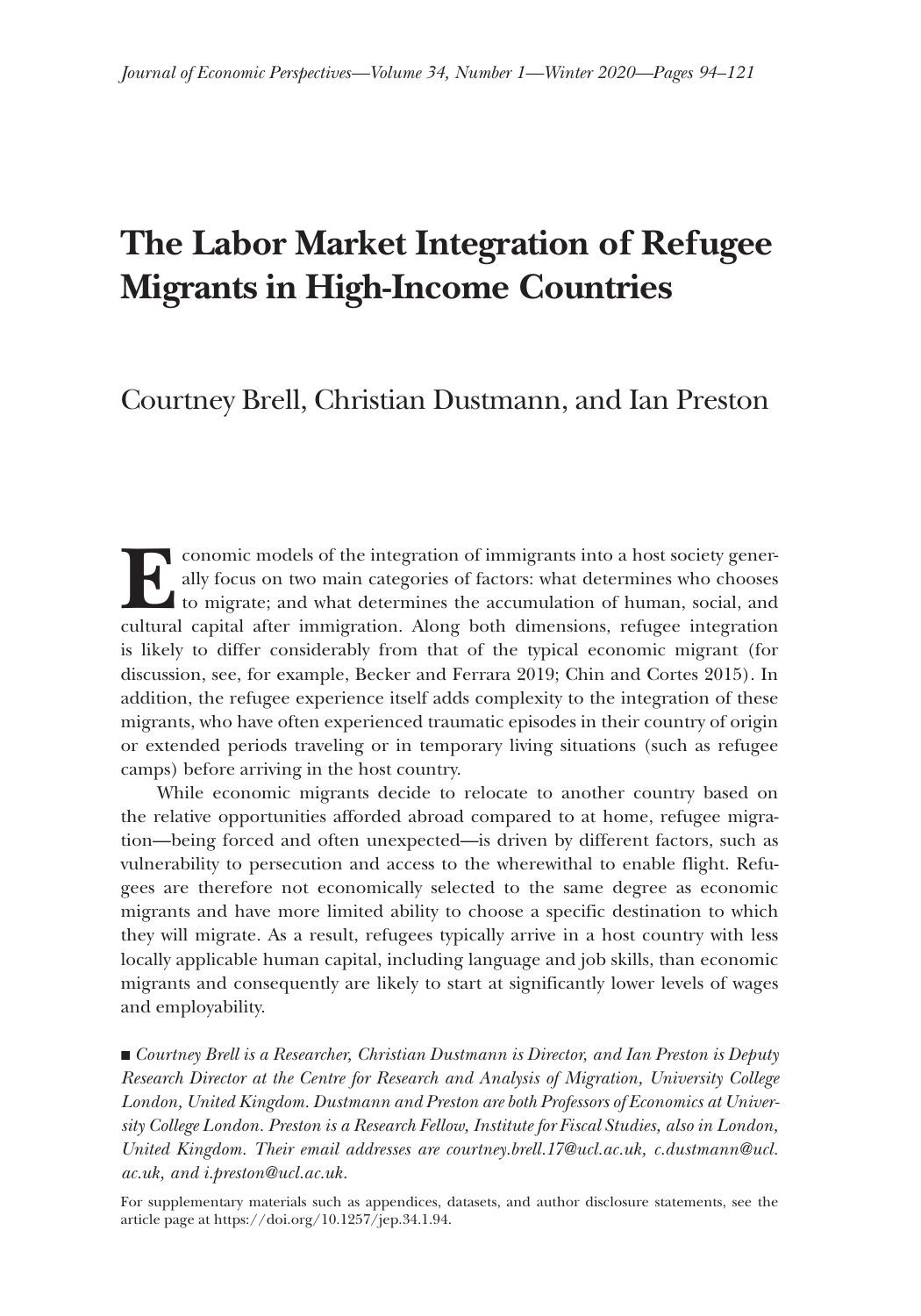# **The Labor Market Integration of Refugee Migrants in High-Income Countries**

Courtney Brell, Christian Dustmann, and Ian Preston

**Economic models of the integration of immigrants into a host society generally focus on two main categories of factors: what determines who chooses to migrate; and what determines the accumulation of human, social, and cu** ally focus on two main categories of factors: what determines who chooses to migrate; and what determines the accumulation of human, social, and cultural capital after immigration. Along both dimensions, refugee integration is likely to differ considerably from that of the typical economic migrant (for discussion, see, for example, Becker and Ferrara 2019; Chin and Cortes 2015). In addition, the refugee experience itself adds complexity to the integration of these migrants, who have often experienced traumatic episodes in their country of origin or extended periods traveling or in temporary living situations (such as refugee camps) before arriving in the host country.

While economic migrants decide to relocate to another country based on the relative opportunities afforded abroad compared to at home, refugee migration—being forced and often unexpected—is driven by different factors, such as vulnerability to persecution and access to the wherewithal to enable flight. Refugees are therefore not economically selected to the same degree as economic migrants and have more limited ability to choose a specific destination to which they will migrate. As a result, refugees typically arrive in a host country with less locally applicable human capital, including language and job skills, than economic migrants and consequently are likely to start at significantly lower levels of wages and employability.

■ *Courtney Brell is a Researcher, Christian Dustmann is Director, and Ian Preston is Deputy Research Director at the Centre for Research and Analysis of Migration, University College London, United Kingdom. Dustmann and Preston are both Professors of Economics at University College London. Preston is a Research Fellow, Institute for Fiscal Studies, also in London, United Kingdom. Their email addresses are [courtney.brell.17@ucl.ac.uk](mailto:courtney.brell.17@ucl.ac.uk), [c.dustmann@ucl.](mailto:c.dustmann@ucl.ac.uk) [ac.uk](mailto:c.dustmann@ucl.ac.uk), and [i.preston@ucl.ac.uk](mailto:i.preston@ucl.ac.uk).*

For supplementary materials such as appendices, datasets, and author disclosure statements, see the article page at [https://doi.org/10.1257/jep.34.1.94](https://doi.org/10.1257/jep.34.1.94).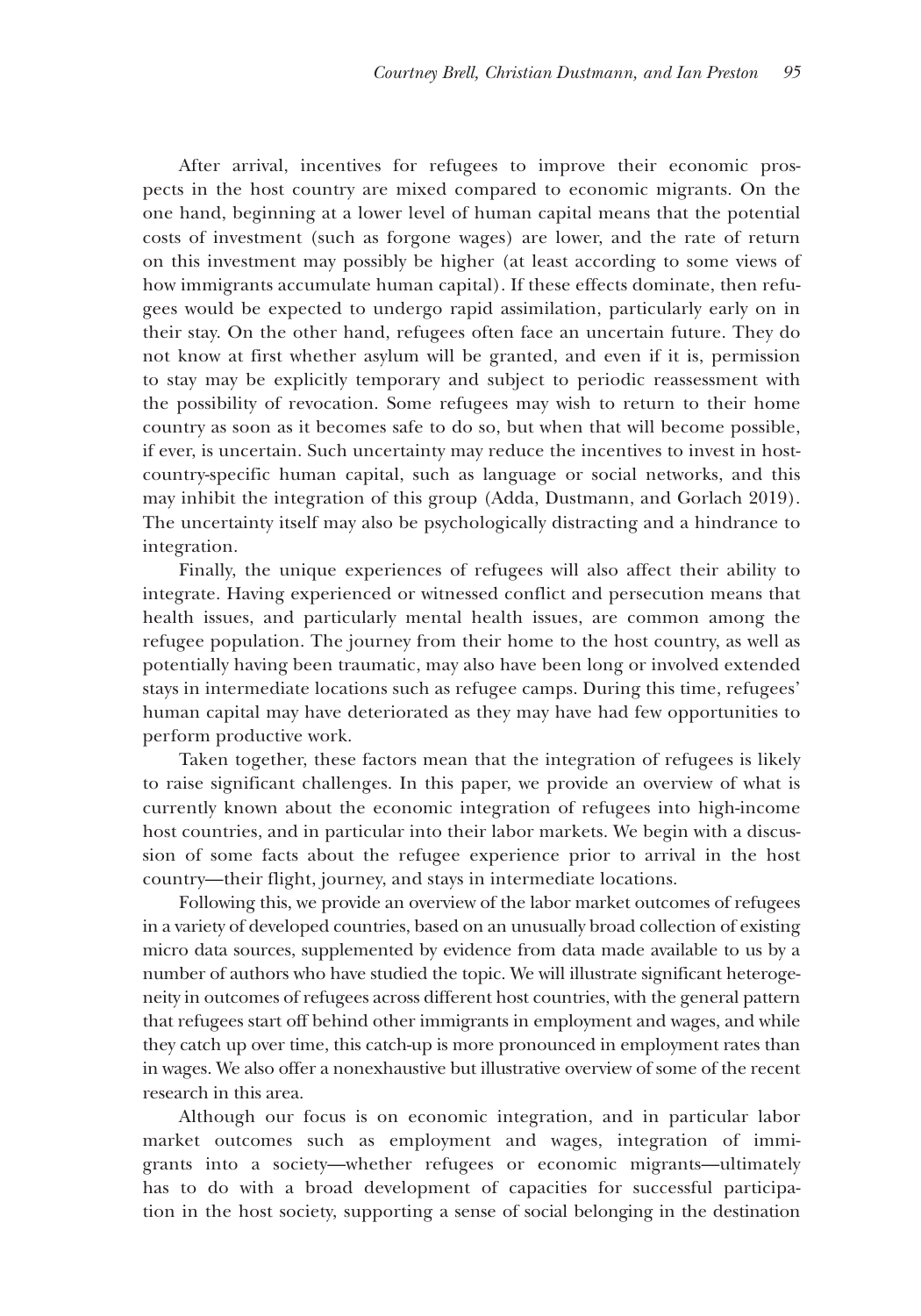After arrival, incentives for refugees to improve their economic prospects in the host country are mixed compared to economic migrants. On the one hand, beginning at a lower level of human capital means that the potential costs of investment (such as forgone wages) are lower, and the rate of return on this investment may possibly be higher (at least according to some views of how immigrants accumulate human capital). If these effects dominate, then refugees would be expected to undergo rapid assimilation, particularly early on in their stay. On the other hand, refugees often face an uncertain future. They do not know at first whether asylum will be granted, and even if it is, permission to stay may be explicitly temporary and subject to periodic reassessment with the possibility of revocation. Some refugees may wish to return to their home country as soon as it becomes safe to do so, but when that will become possible, if ever, is uncertain. Such uncertainty may reduce the incentives to invest in hostcountry-specific human capital, such as language or social networks, and this may inhibit the integration of this group (Adda, Dustmann, and Gorlach 2019). The uncertainty itself may also be psychologically distracting and a hindrance to integration.

Finally, the unique experiences of refugees will also affect their ability to integrate. Having experienced or witnessed conflict and persecution means that health issues, and particularly mental health issues, are common among the refugee population. The journey from their home to the host country, as well as potentially having been traumatic, may also have been long or involved extended stays in intermediate locations such as refugee camps. During this time, refugees' human capital may have deteriorated as they may have had few opportunities to perform productive work.

Taken together, these factors mean that the integration of refugees is likely to raise significant challenges. In this paper, we provide an overview of what is currently known about the economic integration of refugees into high-income host countries, and in particular into their labor markets. We begin with a discussion of some facts about the refugee experience prior to arrival in the host country—their flight, journey, and stays in intermediate locations.

Following this, we provide an overview of the labor market outcomes of refugees in a variety of developed countries, based on an unusually broad collection of existing micro data sources, supplemented by evidence from data made available to us by a number of authors who have studied the topic. We will illustrate significant heterogeneity in outcomes of refugees across different host countries, with the general pattern that refugees start off behind other immigrants in employment and wages, and while they catch up over time, this catch-up is more pronounced in employment rates than in wages. We also offer a nonexhaustive but illustrative overview of some of the recent research in this area.

Although our focus is on economic integration, and in particular labor market outcomes such as employment and wages, integration of immigrants into a society—whether refugees or economic migrants—ultimately has to do with a broad development of capacities for successful participation in the host society, supporting a sense of social belonging in the destination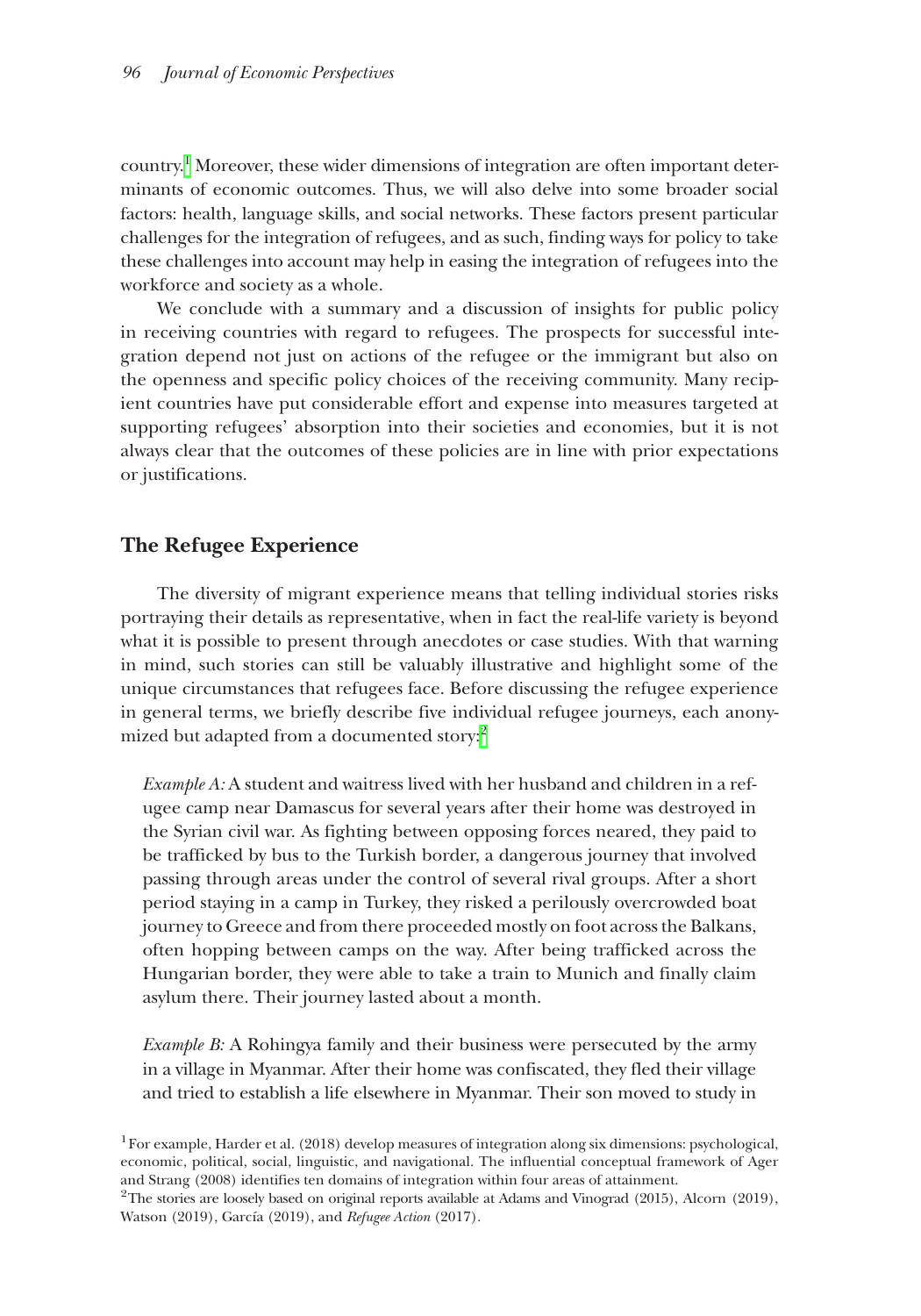country.<sup>[1](#page-2-0)</sup> Moreover, these wider dimensions of integration are often important determinants of economic outcomes. Thus, we will also delve into some broader social factors: health, language skills, and social networks. These factors present particular challenges for the integration of refugees, and as such, finding ways for policy to take these challenges into account may help in easing the integration of refugees into the workforce and society as a whole.

We conclude with a summary and a discussion of insights for public policy in receiving countries with regard to refugees. The prospects for successful integration depend not just on actions of the refugee or the immigrant but also on the openness and specific policy choices of the receiving community. Many recipient countries have put considerable effort and expense into measures targeted at supporting refugees' absorption into their societies and economies, but it is not always clear that the outcomes of these policies are in line with prior expectations or justifications.

# **The Refugee Experience**

The diversity of migrant experience means that telling individual stories risks portraying their details as representative, when in fact the real-life variety is beyond what it is possible to present through anecdotes or case studies. With that warning in mind, such stories can still be valuably illustrative and highlight some of the unique circumstances that refugees face. Before discussing the refugee experience in general terms, we briefly describe five individual refugee journeys, each anony-mized but adapted from a documented story:<sup>[2](#page-2-1)</sup>

*Example A:* A student and waitress lived with her husband and children in a refugee camp near Damascus for several years after their home was destroyed in the Syrian civil war. As fighting between opposing forces neared, they paid to be trafficked by bus to the Turkish border, a dangerous journey that involved passing through areas under the control of several rival groups. After a short period staying in a camp in Turkey, they risked a perilously overcrowded boat journey to Greece and from there proceeded mostly on foot across the Balkans, often hopping between camps on the way. After being trafficked across the Hungarian border, they were able to take a train to Munich and finally claim asylum there. Their journey lasted about a month.

*Example B:* A Rohingya family and their business were persecuted by the army in a village in Myanmar. After their home was confiscated, they fled their village and tried to establish a life elsewhere in Myanmar. Their son moved to study in

<span id="page-2-0"></span><sup>1</sup>For example, Harder et al. (2018) develop measures of integration along six dimensions: psychological, economic, political, social, linguistic, and navigational. The influential conceptual framework of Ager and Strang (2008) identifies ten domains of integration within four areas of attainment.

<span id="page-2-1"></span><sup>2</sup>The stories are loosely based on original reports available at Adams and Vinograd (2015), Alcorn (2019), Watson (2019), García (2019), and *Refugee Action* (2017).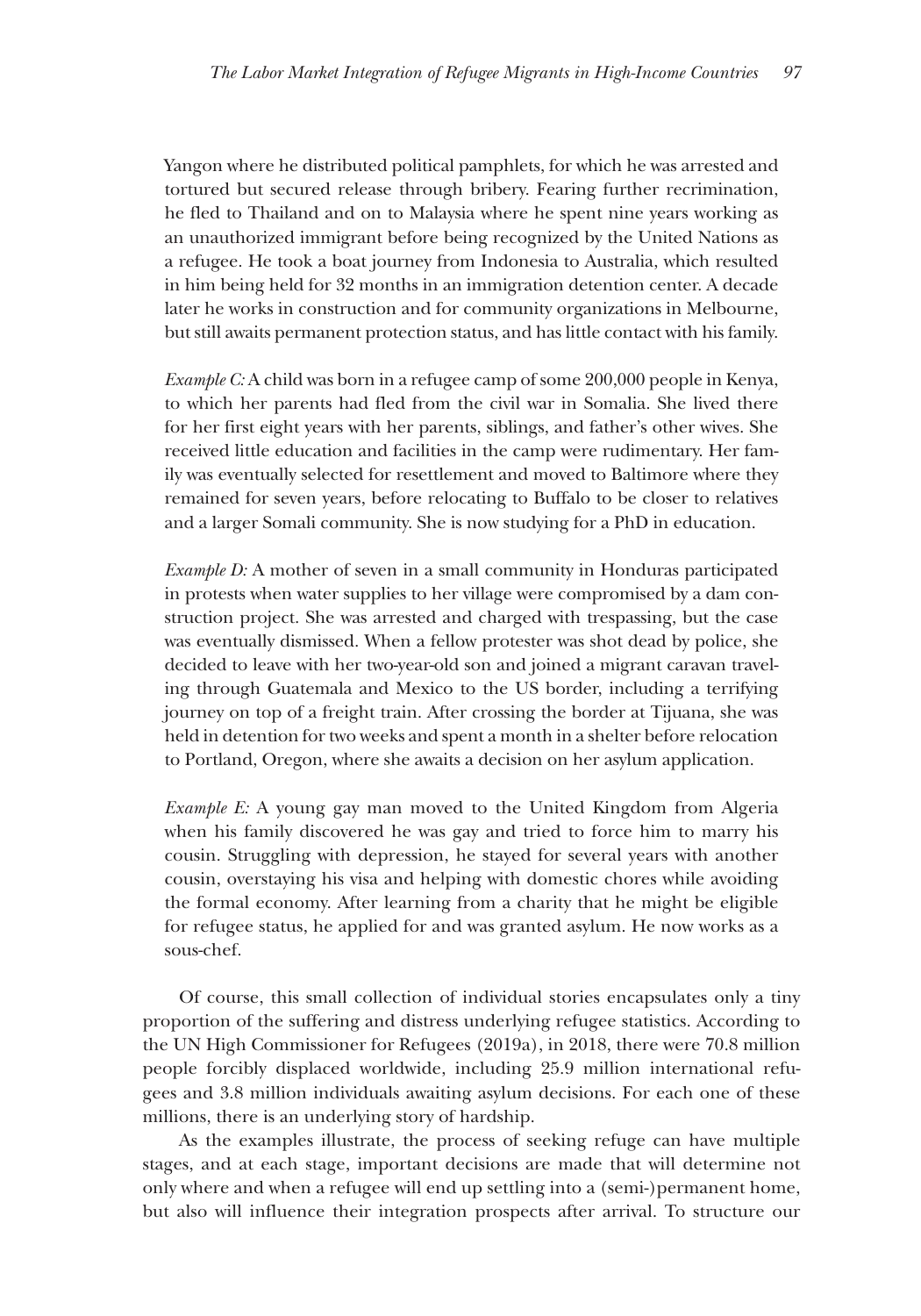Yangon where he distributed political pamphlets, for which he was arrested and tortured but secured release through bribery. Fearing further recrimination, he fled to Thailand and on to Malaysia where he spent nine years working as an unauthorized immigrant before being recognized by the United Nations as a refugee. He took a boat journey from Indonesia to Australia, which resulted in him being held for 32 months in an immigration detention center. A decade later he works in construction and for community organizations in Melbourne, but still awaits permanent protection status, and has little contact with his family.

*Example C:* A child was born in a refugee camp of some 200,000 people in Kenya, to which her parents had fled from the civil war in Somalia. She lived there for her first eight years with her parents, siblings, and father's other wives. She received little education and facilities in the camp were rudimentary. Her family was eventually selected for resettlement and moved to Baltimore where they remained for seven years, before relocating to Buffalo to be closer to relatives and a larger Somali community. She is now studying for a PhD in education.

*Example D:* A mother of seven in a small community in Honduras participated in protests when water supplies to her village were compromised by a dam construction project. She was arrested and charged with trespassing, but the case was eventually dismissed. When a fellow protester was shot dead by police, she decided to leave with her two-year-old son and joined a migrant caravan traveling through Guatemala and Mexico to the US border, including a terrifying journey on top of a freight train. After crossing the border at Tijuana, she was held in detention for two weeks and spent a month in a shelter before relocation to Portland, Oregon, where she awaits a decision on her asylum application.

*Example E:* A young gay man moved to the United Kingdom from Algeria when his family discovered he was gay and tried to force him to marry his cousin. Struggling with depression, he stayed for several years with another cousin, overstaying his visa and helping with domestic chores while avoiding the formal economy. After learning from a charity that he might be eligible for refugee status, he applied for and was granted asylum. He now works as a sous-chef.

Of course, this small collection of individual stories encapsulates only a tiny proportion of the suffering and distress underlying refugee statistics. According to the UN High Commissioner for Refugees (2019a), in 2018, there were 70.8 million people forcibly displaced worldwide, including 25.9 million international refugees and 3.8 million individuals awaiting asylum decisions. For each one of these millions, there is an underlying story of hardship.

As the examples illustrate, the process of seeking refuge can have multiple stages, and at each stage, important decisions are made that will determine not only where and when a refugee will end up settling into a (semi-)permanent home, but also will influence their integration prospects after arrival. To structure our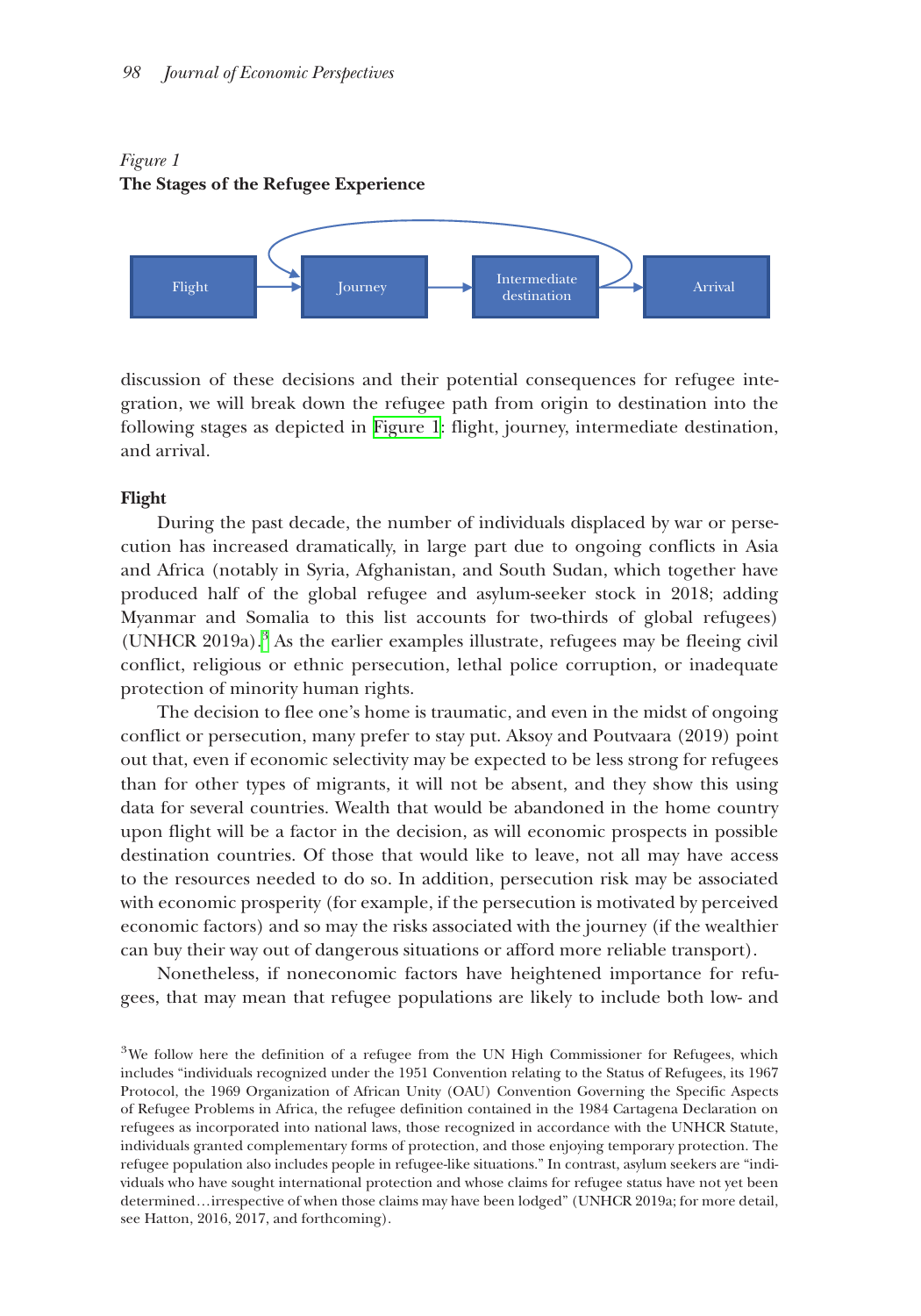# *Figure 1* **The Stages of the Refugee Experience**



discussion of these decisions and their potential consequences for refugee integration, we will break down the refugee path from origin to destination into the following stages as depicted in Figure 1: flight, journey, intermediate destination, and arrival.

## **Flight**

During the past decade, the number of individuals displaced by war or persecution has increased dramatically, in large part due to ongoing conflicts in Asia and Africa (notably in Syria, Afghanistan, and South Sudan, which together have produced half of the global refugee and asylum-seeker stock in 2018; adding Myanmar and Somalia to this list accounts for two-thirds of global refugees) (UNHCR  $2019a$ ).<sup>3</sup> As the earlier examples illustrate, refugees may be fleeing civil conflict, religious or ethnic persecution, lethal police corruption, or inadequate protection of minority human rights.

The decision to flee one's home is traumatic, and even in the midst of ongoing conflict or persecution, many prefer to stay put. Aksoy and Poutvaara (2019) point out that, even if economic selectivity may be expected to be less strong for refugees than for other types of migrants, it will not be absent, and they show this using data for several countries. Wealth that would be abandoned in the home country upon flight will be a factor in the decision, as will economic prospects in possible destination countries. Of those that would like to leave, not all may have access to the resources needed to do so. In addition, persecution risk may be associated with economic prosperity (for example, if the persecution is motivated by perceived economic factors) and so may the risks associated with the journey (if the wealthier can buy their way out of dangerous situations or afford more reliable transport).

Nonetheless, if noneconomic factors have heightened importance for refugees, that may mean that refugee populations are likely to include both low- and

<span id="page-4-0"></span><sup>3</sup>We follow here the definition of a refugee from the UN High Commissioner for Refugees, which includes "individuals recognized under the 1951 Convention relating to the Status of Refugees, its 1967 Protocol, the 1969 Organization of African Unity (OAU) Convention Governing the Specific Aspects of Refugee Problems in Africa, the refugee definition contained in the 1984 Cartagena Declaration on refugees as incorporated into national laws, those recognized in accordance with the UNHCR Statute, individuals granted complementary forms of protection, and those enjoying temporary protection. The refugee population also includes people in refugee-like situations." In contrast, asylum seekers are "individuals who have sought international protection and whose claims for refugee status have not yet been determined…irrespective of when those claims may have been lodged" (UNHCR 2019a; for more detail, see Hatton, 2016, 2017, and forthcoming).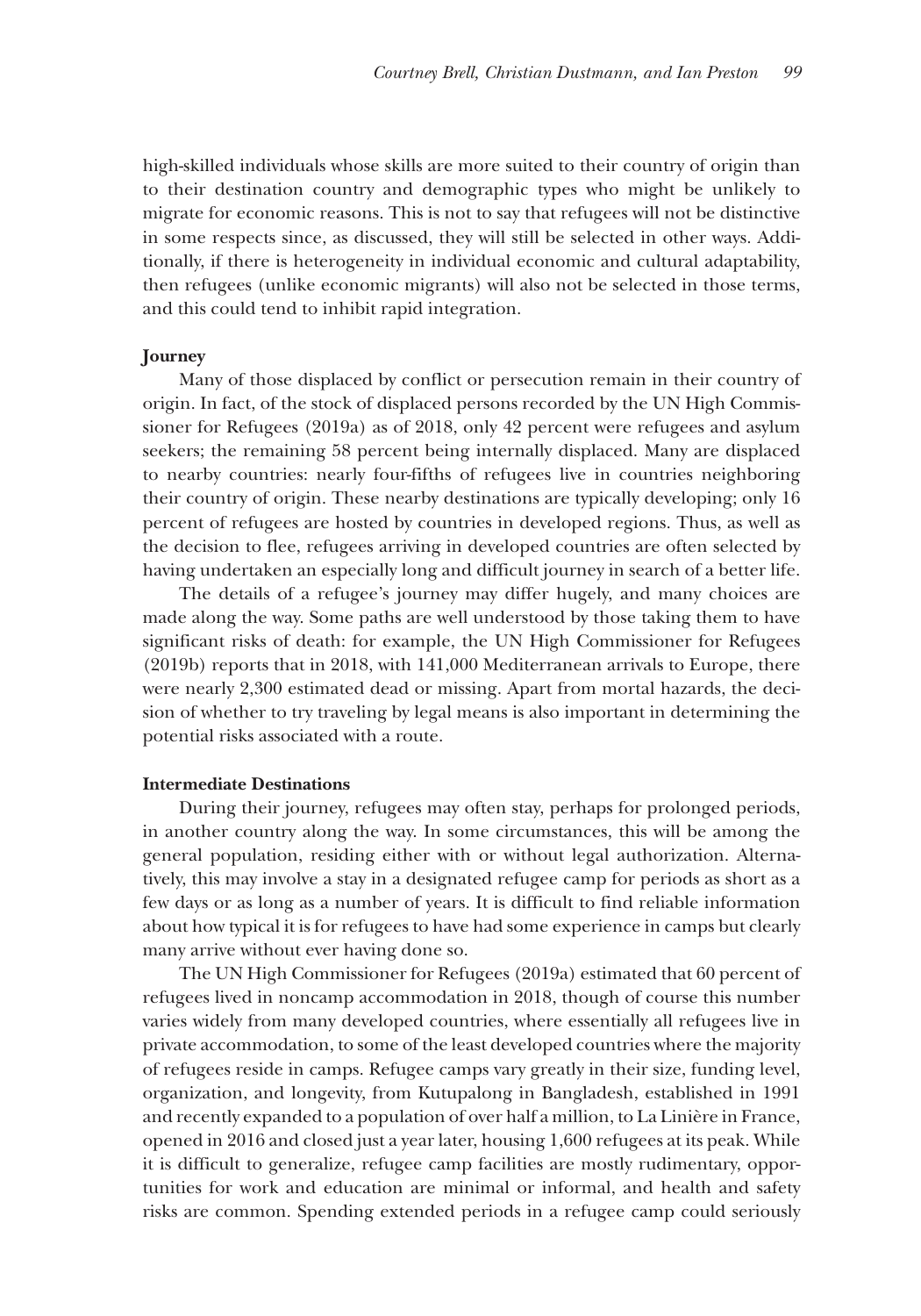high-skilled individuals whose skills are more suited to their country of origin than to their destination country and demographic types who might be unlikely to migrate for economic reasons. This is not to say that refugees will not be distinctive in some respects since, as discussed, they will still be selected in other ways. Additionally, if there is heterogeneity in individual economic and cultural adaptability, then refugees (unlike economic migrants) will also not be selected in those terms, and this could tend to inhibit rapid integration.

#### **Journey**

Many of those displaced by conflict or persecution remain in their country of origin. In fact, of the stock of displaced persons recorded by the UN High Commissioner for Refugees (2019a) as of 2018, only 42 percent were refugees and asylum seekers; the remaining 58 percent being internally displaced. Many are displaced to nearby countries: nearly four-fifths of refugees live in countries neighboring their country of origin. These nearby destinations are typically developing; only 16 percent of refugees are hosted by countries in developed regions. Thus, as well as the decision to flee, refugees arriving in developed countries are often selected by having undertaken an especially long and difficult journey in search of a better life.

The details of a refugee's journey may differ hugely, and many choices are made along the way. Some paths are well understood by those taking them to have significant risks of death: for example, the UN High Commissioner for Refugees (2019b) reports that in 2018, with 141,000 Mediterranean arrivals to Europe, there were nearly 2,300 estimated dead or missing. Apart from mortal hazards, the decision of whether to try traveling by legal means is also important in determining the potential risks associated with a route.

#### **Intermediate Destinations**

During their journey, refugees may often stay, perhaps for prolonged periods, in another country along the way. In some circumstances, this will be among the general population, residing either with or without legal authorization. Alternatively, this may involve a stay in a designated refugee camp for periods as short as a few days or as long as a number of years. It is difficult to find reliable information about how typical it is for refugees to have had some experience in camps but clearly many arrive without ever having done so.

The UN High Commissioner for Refugees (2019a) estimated that 60 percent of refugees lived in noncamp accommodation in 2018, though of course this number varies widely from many developed countries, where essentially all refugees live in private accommodation, to some of the least developed countries where the majority of refugees reside in camps. Refugee camps vary greatly in their size, funding level, organization, and longevity, from Kutupalong in Bangladesh, established in 1991 and recently expanded to a population of over half a million, to La Linière in France, opened in 2016 and closed just a year later, housing 1,600 refugees at its peak. While it is difficult to generalize, refugee camp facilities are mostly rudimentary, opportunities for work and education are minimal or informal, and health and safety risks are common. Spending extended periods in a refugee camp could seriously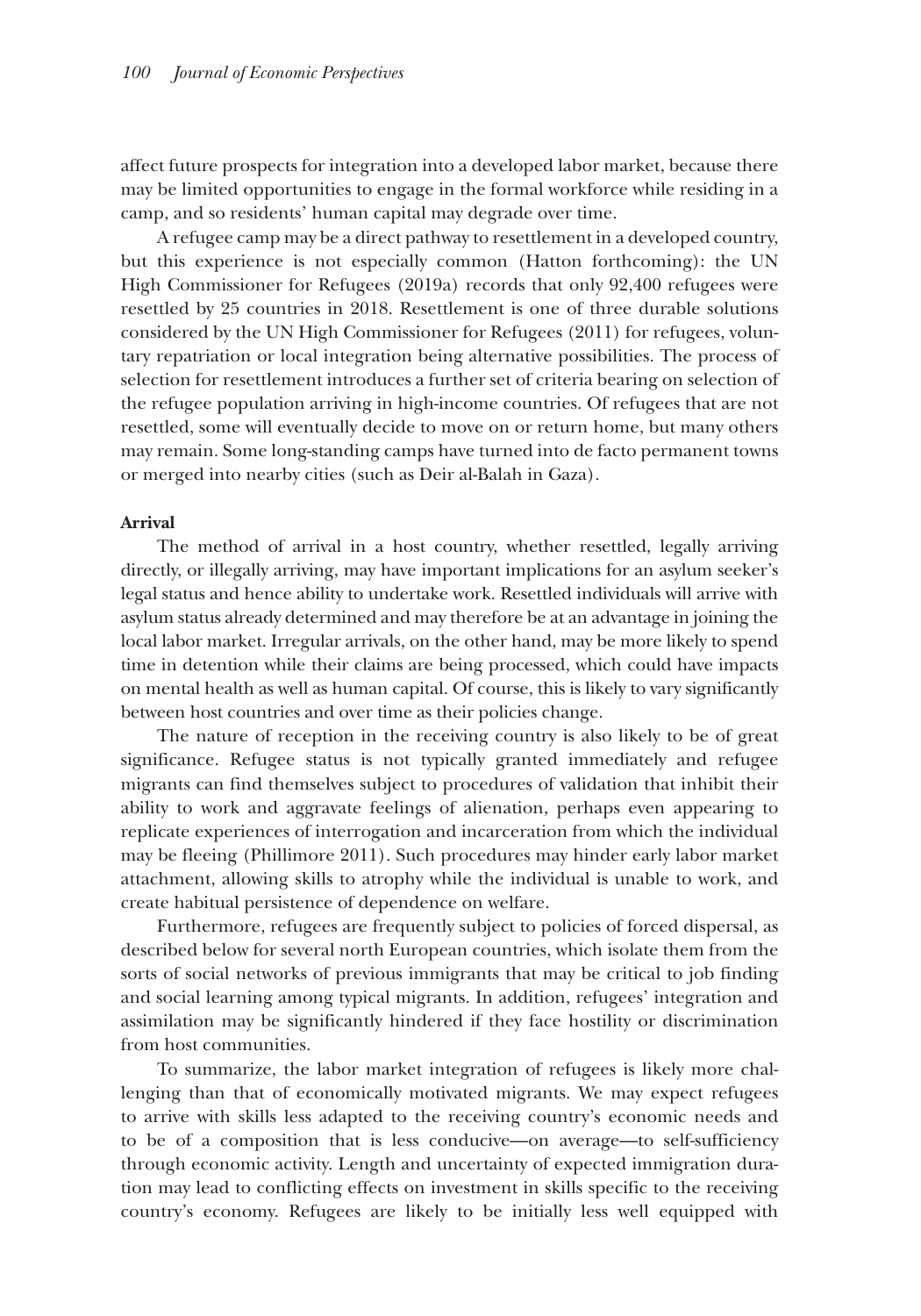affect future prospects for integration into a developed labor market, because there may be limited opportunities to engage in the formal workforce while residing in a camp, and so residents' human capital may degrade over time.

A refugee camp may be a direct pathway to resettlement in a developed country, but this experience is not especially common (Hatton forthcoming): the UN High Commissioner for Refugees (2019a) records that only 92,400 refugees were resettled by 25 countries in 2018. Resettlement is one of three durable solutions considered by the UN High Commissioner for Refugees (2011) for refugees, voluntary repatriation or local integration being alternative possibilities. The process of selection for resettlement introduces a further set of criteria bearing on selection of the refugee population arriving in high-income countries. Of refugees that are not resettled, some will eventually decide to move on or return home, but many others may remain. Some long-standing camps have turned into de facto permanent towns or merged into nearby cities (such as Deir al-Balah in Gaza).

#### **Arrival**

The method of arrival in a host country, whether resettled, legally arriving directly, or illegally arriving, may have important implications for an asylum seeker's legal status and hence ability to undertake work. Resettled individuals will arrive with asylum status already determined and may therefore be at an advantage in joining the local labor market. Irregular arrivals, on the other hand, may be more likely to spend time in detention while their claims are being processed, which could have impacts on mental health as well as human capital. Of course, this is likely to vary significantly between host countries and over time as their policies change.

The nature of reception in the receiving country is also likely to be of great significance. Refugee status is not typically granted immediately and refugee migrants can find themselves subject to procedures of validation that inhibit their ability to work and aggravate feelings of alienation, perhaps even appearing to replicate experiences of interrogation and incarceration from which the individual may be fleeing (Phillimore 2011). Such procedures may hinder early labor market attachment, allowing skills to atrophy while the individual is unable to work, and create habitual persistence of dependence on welfare.

Furthermore, refugees are frequently subject to policies of forced dispersal, as described below for several north European countries, which isolate them from the sorts of social networks of previous immigrants that may be critical to job finding and social learning among typical migrants. In addition, refugees' integration and assimilation may be significantly hindered if they face hostility or discrimination from host communities.

To summarize, the labor market integration of refugees is likely more challenging than that of economically motivated migrants. We may expect refugees to arrive with skills less adapted to the receiving country's economic needs and to be of a composition that is less conducive—on average—to self-sufficiency through economic activity. Length and uncertainty of expected immigration duration may lead to conflicting effects on investment in skills specific to the receiving country's economy. Refugees are likely to be initially less well equipped with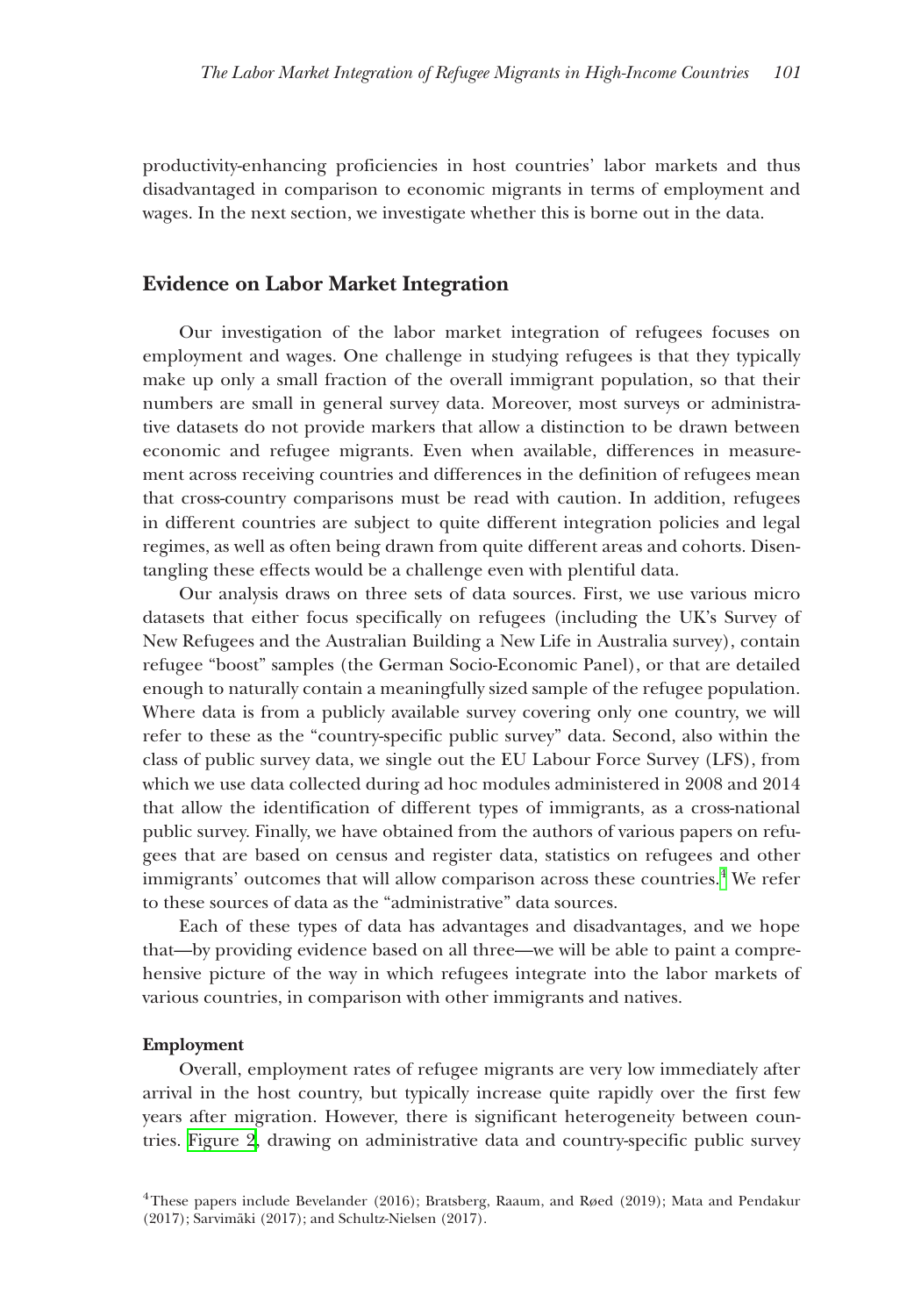productivity-enhancing proficiencies in host countries' labor markets and thus disadvantaged in comparison to economic migrants in terms of employment and wages. In the next section, we investigate whether this is borne out in the data.

## **Evidence on Labor Market Integration**

Our investigation of the labor market integration of refugees focuses on employment and wages. One challenge in studying refugees is that they typically make up only a small fraction of the overall immigrant population, so that their numbers are small in general survey data. Moreover, most surveys or administrative datasets do not provide markers that allow a distinction to be drawn between economic and refugee migrants. Even when available, differences in measurement across receiving countries and differences in the definition of refugees mean that cross-country comparisons must be read with caution. In addition, refugees in different countries are subject to quite different integration policies and legal regimes, as well as often being drawn from quite different areas and cohorts. Disentangling these effects would be a challenge even with plentiful data.

Our analysis draws on three sets of data sources. First, we use various micro datasets that either focus specifically on refugees (including the UK's Survey of New Refugees and the Australian Building a New Life in Australia survey), contain refugee "boost" samples (the German Socio-Economic Panel), or that are detailed enough to naturally contain a meaningfully sized sample of the refugee population. Where data is from a publicly available survey covering only one country, we will refer to these as the "country-specific public survey" data. Second, also within the class of public survey data, we single out the EU Labour Force Survey (LFS), from which we use data collected during ad hoc modules administered in 2008 and 2014 that allow the identification of different types of immigrants, as a cross-national public survey. Finally, we have obtained from the authors of various papers on refugees that are based on census and register data, statistics on refugees and other immigrants' outcomes that will allow comparison across these countries.<sup>[4](#page-7-0)</sup> We refer to these sources of data as the "administrative" data sources.

Each of these types of data has advantages and disadvantages, and we hope that—by providing evidence based on all three—we will be able to paint a comprehensive picture of the way in which refugees integrate into the labor markets of various countries, in comparison with other immigrants and natives.

#### **Employment**

Overall, employment rates of refugee migrants are very low immediately after arrival in the host country, but typically increase quite rapidly over the first few years after migration. However, there is significant heterogeneity between countries. [Figure 2,](#page-8-0) drawing on administrative data and country-specific public survey

<span id="page-7-0"></span><sup>4</sup>These papers include Bevelander (2016); Bratsberg, Raaum, and Røed (2019); Mata and Pendakur (2017); Sarvimäki (2017); and Schultz-Nielsen (2017).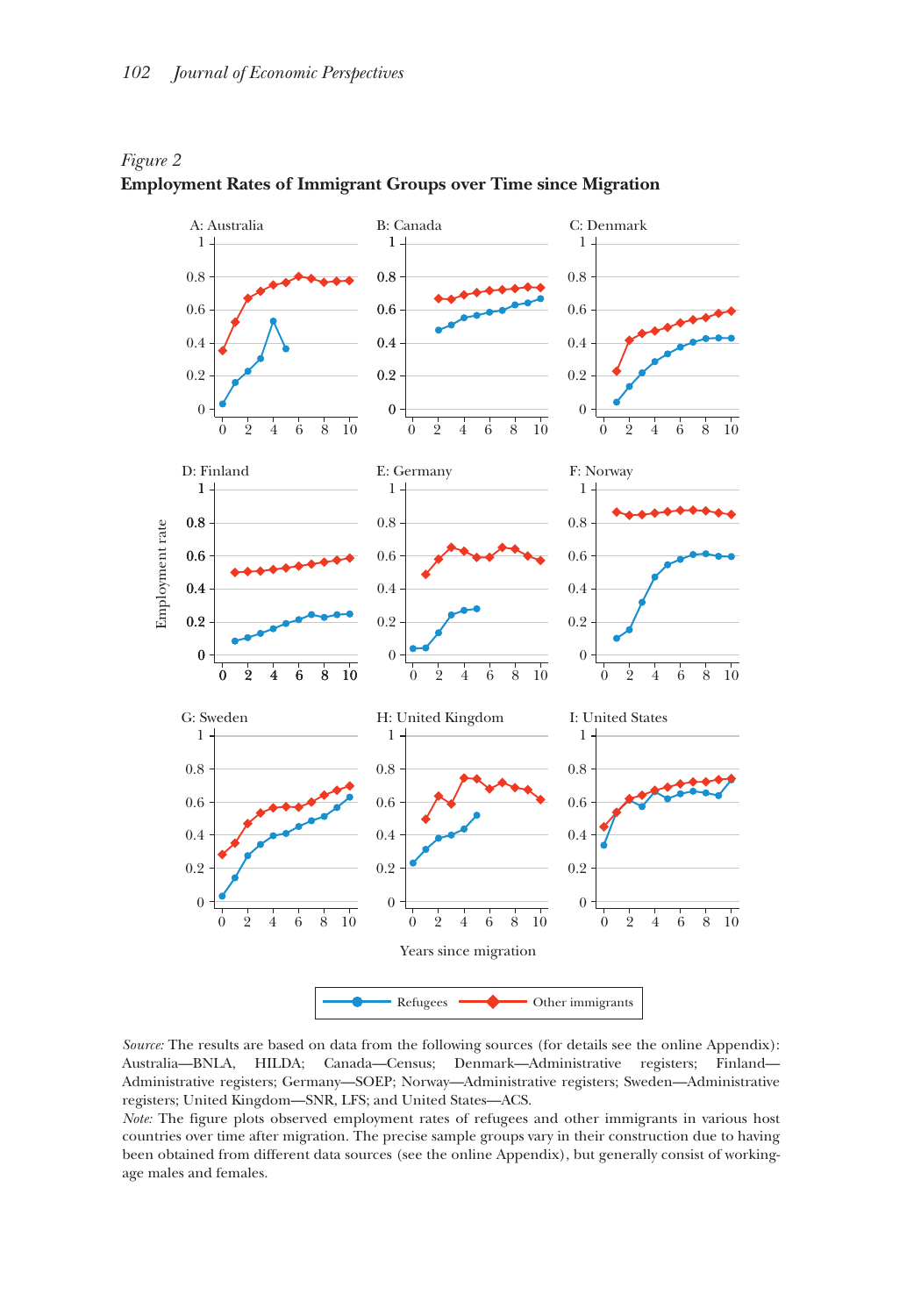

<span id="page-8-0"></span>*Figure 2* **Employment Rates of Immigrant Groups over Time since Migration**

*Source:* The results are based on data from the following sources (for details see the online Appendix): Australia—BNLA, HILDA; Canada—Census; Denmark—Administrative registers; Finland— Administrative registers; Germany—SOEP; Norway—Administrative registers; Sweden—Administrative registers; United Kingdom—SNR, LFS; and United States—ACS.

*Note:* The figure plots observed employment rates of refugees and other immigrants in various host countries over time after migration. The precise sample groups vary in their construction due to having been obtained from different data sources (see the online Appendix), but generally consist of workingage males and females.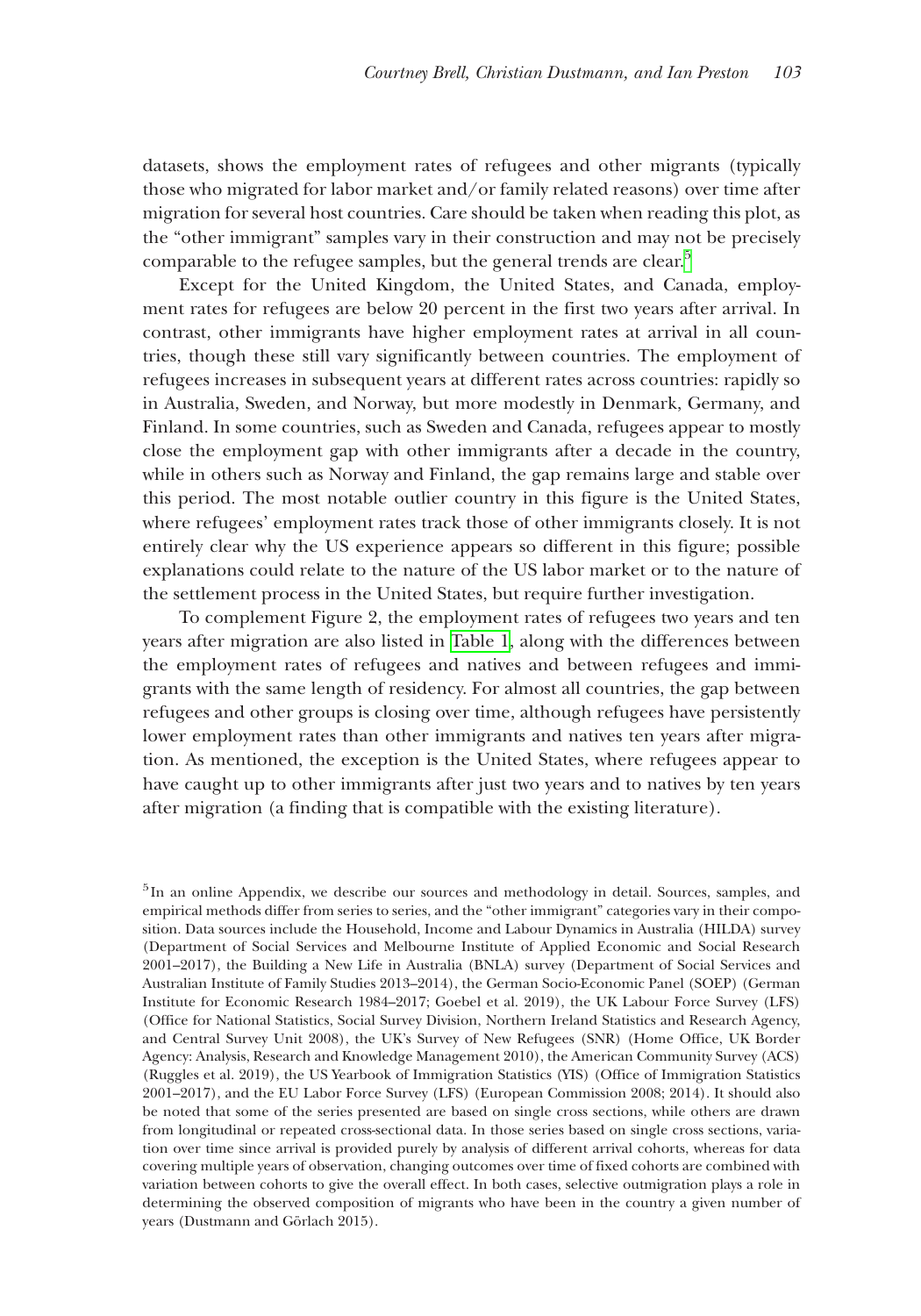datasets, shows the employment rates of refugees and other migrants (typically those who migrated for labor market and/or family related reasons) over time after migration for several host countries. Care should be taken when reading this plot, as the "other immigrant" samples vary in their construction and may not be precisely comparable to the refugee samples, but the general trends are clear.<sup>[5](#page-9-0)</sup>

Except for the United Kingdom, the United States, and Canada, employment rates for refugees are below 20 percent in the first two years after arrival. In contrast, other immigrants have higher employment rates at arrival in all countries, though these still vary significantly between countries. The employment of refugees increases in subsequent years at different rates across countries: rapidly so in Australia, Sweden, and Norway, but more modestly in Denmark, Germany, and Finland. In some countries, such as Sweden and Canada, refugees appear to mostly close the employment gap with other immigrants after a decade in the country, while in others such as Norway and Finland, the gap remains large and stable over this period. The most notable outlier country in this figure is the United States, where refugees' employment rates track those of other immigrants closely. It is not entirely clear why the US experience appears so different in this figure; possible explanations could relate to the nature of the US labor market or to the nature of the settlement process in the United States, but require further investigation.

To complement Figure 2, the employment rates of refugees two years and ten years after migration are also listed in [Table 1,](#page-10-0) along with the differences between the employment rates of refugees and natives and between refugees and immigrants with the same length of residency. For almost all countries, the gap between refugees and other groups is closing over time, although refugees have persistently lower employment rates than other immigrants and natives ten years after migration. As mentioned, the exception is the United States, where refugees appear to have caught up to other immigrants after just two years and to natives by ten years after migration (a finding that is compatible with the existing literature).

<span id="page-9-0"></span><sup>5</sup>In an online Appendix, we describe our sources and methodology in detail. Sources, samples, and empirical methods differ from series to series, and the "other immigrant" categories vary in their composition. Data sources include the Household, Income and Labour Dynamics in Australia (HILDA) survey (Department of Social Services and Melbourne Institute of Applied Economic and Social Research 2001–2017), the Building a New Life in Australia (BNLA) survey (Department of Social Services and Australian Institute of Family Studies 2013–2014), the German Socio-Economic Panel (SOEP) (German Institute for Economic Research 1984–2017; Goebel et al. 2019), the UK Labour Force Survey (LFS) (Office for National Statistics, Social Survey Division, Northern Ireland Statistics and Research Agency, and Central Survey Unit 2008), the UK's Survey of New Refugees (SNR) (Home Office, UK Border Agency: Analysis, Research and Knowledge Management 2010), the American Community Survey (ACS) (Ruggles et al. 2019), the US Yearbook of Immigration Statistics (YIS) (Office of Immigration Statistics 2001–2017), and the EU Labor Force Survey (LFS) (European Commission 2008; 2014). It should also be noted that some of the series presented are based on single cross sections, while others are drawn from longitudinal or repeated cross-sectional data. In those series based on single cross sections, variation over time since arrival is provided purely by analysis of different arrival cohorts, whereas for data covering multiple years of observation, changing outcomes over time of fixed cohorts are combined with variation between cohorts to give the overall effect. In both cases, selective outmigration plays a role in determining the observed composition of migrants who have been in the country a given number of years (Dustmann and Görlach 2015).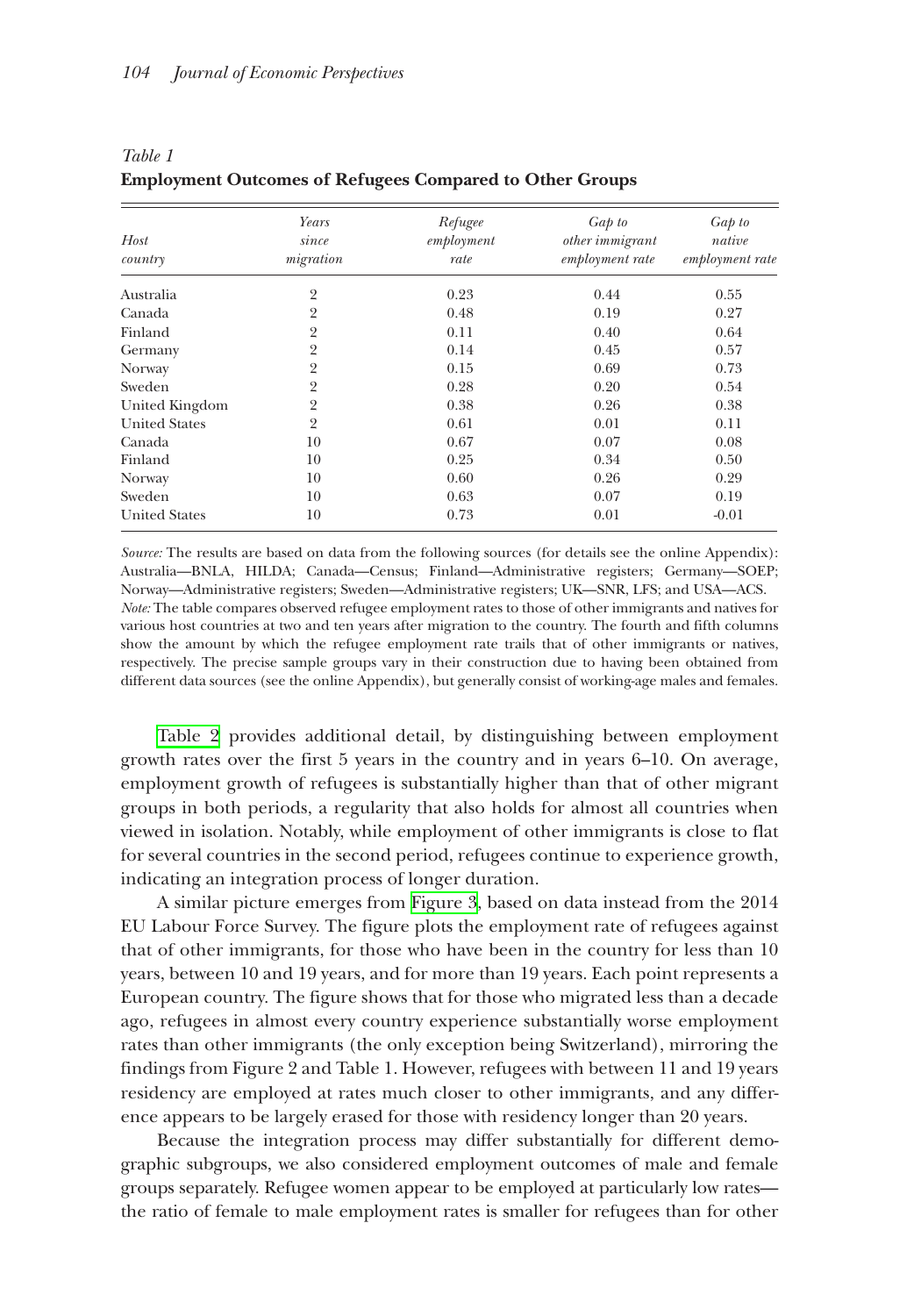| Host<br>country      | Years<br>since<br>migration | Refugee<br>emplovment<br>rate | Gap to<br>other immigrant<br>employment rate | Gap to<br>native<br>employment rate |
|----------------------|-----------------------------|-------------------------------|----------------------------------------------|-------------------------------------|
| Australia            | $\overline{2}$              | 0.23                          | 0.44                                         | 0.55                                |
| Canada               | $\overline{2}$              | 0.48                          | 0.19                                         | 0.27                                |
| Finland              | $\overline{2}$              | 0.11                          | 0.40                                         | 0.64                                |
| Germany              | $\overline{2}$              | 0.14                          | 0.45                                         | 0.57                                |
| Norway               | $\overline{2}$              | 0.15                          | 0.69                                         | 0.73                                |
| Sweden               | $\overline{2}$              | 0.28                          | 0.20                                         | 0.54                                |
| United Kingdom       | $\overline{2}$              | 0.38                          | 0.26                                         | 0.38                                |
| <b>United States</b> | $\overline{2}$              | 0.61                          | 0.01                                         | 0.11                                |
| Canada               | 10                          | 0.67                          | 0.07                                         | 0.08                                |
| Finland              | 10                          | 0.25                          | 0.34                                         | 0.50                                |
| Norway               | 10                          | 0.60                          | 0.26                                         | 0.29                                |
| Sweden               | 10                          | 0.63                          | 0.07                                         | 0.19                                |
| <b>United States</b> | 10                          | 0.73                          | 0.01                                         | $-0.01$                             |

<span id="page-10-0"></span>*Table 1* **Employment Outcomes of Refugees Compared to Other Groups**

*Source:* The results are based on data from the following sources (for details see the online Appendix): Australia—BNLA, HILDA; Canada—Census; Finland—Administrative registers; Germany—SOEP; Norway—Administrative registers; Sweden—Administrative registers; UK—SNR, LFS; and USA—ACS. *Note:* The table compares observed refugee employment rates to those of other immigrants and natives for various host countries at two and ten years after migration to the country. The fourth and fifth columns show the amount by which the refugee employment rate trails that of other immigrants or natives, respectively. The precise sample groups vary in their construction due to having been obtained from different data sources (see the online Appendix), but generally consist of working-age males and females.

[Table 2](#page-11-0) provides additional detail, by distinguishing between employment growth rates over the first 5 years in the country and in years 6–10. On average, employment growth of refugees is substantially higher than that of other migrant groups in both periods, a regularity that also holds for almost all countries when viewed in isolation. Notably, while employment of other immigrants is close to flat for several countries in the second period, refugees continue to experience growth, indicating an integration process of longer duration.

A similar picture emerges from [Figure 3](#page-12-0), based on data instead from the 2014 EU Labour Force Survey. The figure plots the employment rate of refugees against that of other immigrants, for those who have been in the country for less than 10 years, between 10 and 19 years, and for more than 19 years. Each point represents a European country. The figure shows that for those who migrated less than a decade ago, refugees in almost every country experience substantially worse employment rates than other immigrants (the only exception being Switzerland), mirroring the findings from Figure 2 and Table 1. However, refugees with between 11 and 19 years residency are employed at rates much closer to other immigrants, and any difference appears to be largely erased for those with residency longer than 20 years.

Because the integration process may differ substantially for different demographic subgroups, we also considered employment outcomes of male and female groups separately. Refugee women appear to be employed at particularly low rates the ratio of female to male employment rates is smaller for refugees than for other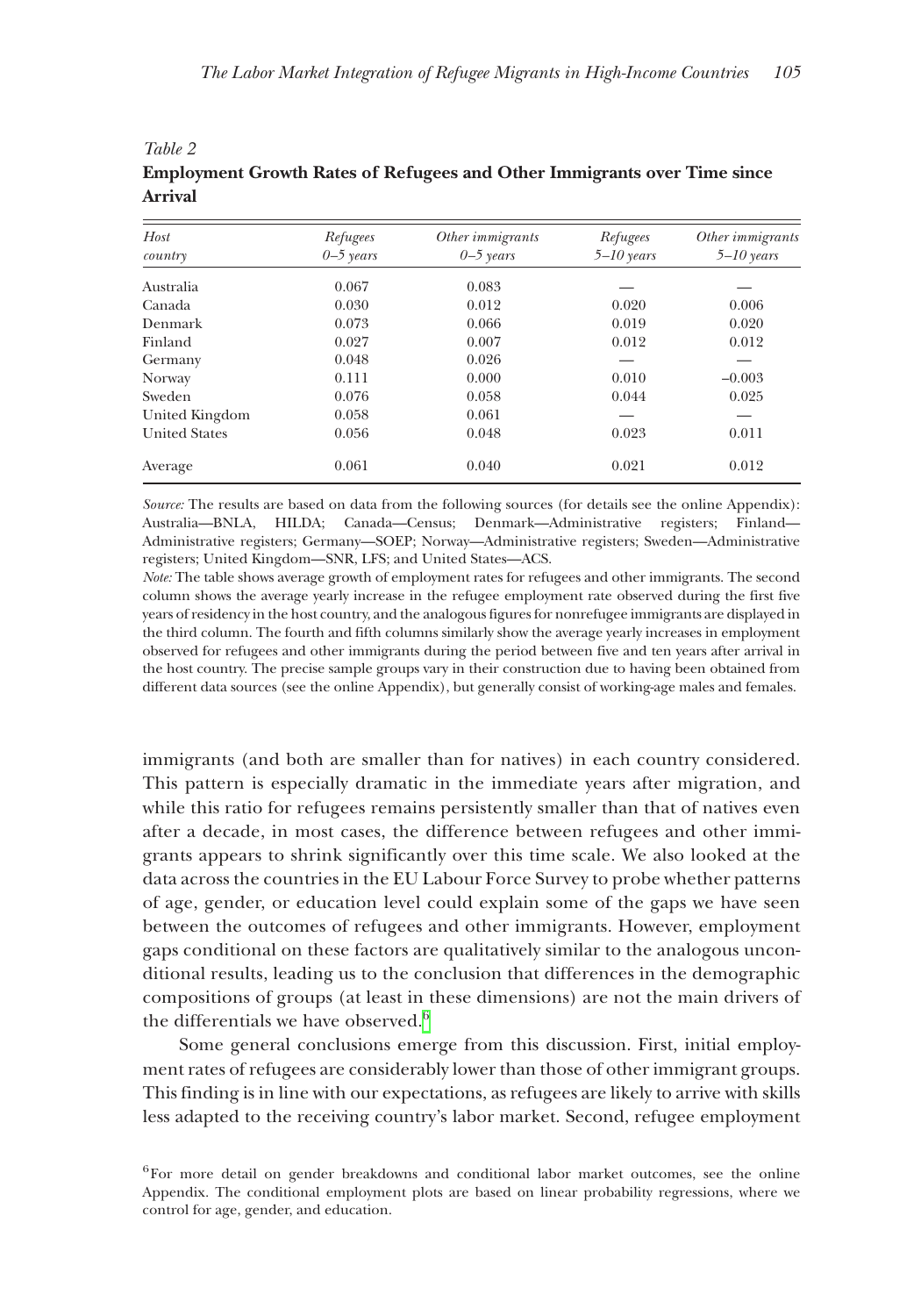| <b>Host</b><br>country | Refugees<br>$0-5$ years | Other <i>immigrants</i><br>$0-5$ years | Refugees<br>$5 - 10$ years | Other immigrants<br>$5 - 10$ years |
|------------------------|-------------------------|----------------------------------------|----------------------------|------------------------------------|
| <b>Australia</b>       | 0.067                   | 0.083                                  |                            |                                    |
| Canada                 | 0.030                   | 0.012                                  | 0.020                      | 0.006                              |
| Denmark                | 0.073                   | 0.066                                  | 0.019                      | 0.020                              |
| Finland                | 0.027                   | 0.007                                  | 0.012                      | 0.012                              |
| Germany                | 0.048                   | 0.026                                  |                            |                                    |
| Norway                 | 0.111                   | 0.000                                  | 0.010                      | $-0.003$                           |
| Sweden                 | 0.076                   | 0.058                                  | 0.044                      | 0.025                              |
| United Kingdom         | 0.058                   | 0.061                                  |                            |                                    |
| <b>United States</b>   | 0.056                   | 0.048                                  | 0.023                      | 0.011                              |
| Average                | 0.061                   | 0.040                                  | 0.021                      | 0.012                              |

**Employment Growth Rates of Refugees and Other Immigrants over Time since Arrival**

<span id="page-11-0"></span>*Table 2*

*Source:* The results are based on data from the following sources (for details see the online Appendix): Australia—BNLA, HILDA; Canada—Census; Denmark—Administrative registers; Finland— Administrative registers; Germany—SOEP; Norway—Administrative registers; Sweden—Administrative registers; United Kingdom—SNR, LFS; and United States—ACS.

*Note:* The table shows average growth of employment rates for refugees and other immigrants. The second column shows the average yearly increase in the refugee employment rate observed during the first five years of residency in the host country, and the analogous figures for nonrefugee immigrants are displayed in the third column. The fourth and fifth columns similarly show the average yearly increases in employment observed for refugees and other immigrants during the period between five and ten years after arrival in the host country. The precise sample groups vary in their construction due to having been obtained from different data sources (see the online Appendix), but generally consist of working-age males and females.

immigrants (and both are smaller than for natives) in each country considered. This pattern is especially dramatic in the immediate years after migration, and while this ratio for refugees remains persistently smaller than that of natives even after a decade, in most cases, the difference between refugees and other immigrants appears to shrink significantly over this time scale. We also looked at the data across the countries in the EU Labour Force Survey to probe whether patterns of age, gender, or education level could explain some of the gaps we have seen between the outcomes of refugees and other immigrants. However, employment gaps conditional on these factors are qualitatively similar to the analogous unconditional results, leading us to the conclusion that differences in the demographic compositions of groups (at least in these dimensions) are not the main drivers of the differentials we have observed.<sup>[6](#page-11-1)</sup>

Some general conclusions emerge from this discussion. First, initial employment rates of refugees are considerably lower than those of other immigrant groups. This finding is in line with our expectations, as refugees are likely to arrive with skills less adapted to the receiving country's labor market. Second, refugee employment

<span id="page-11-1"></span><sup>6</sup>For more detail on gender breakdowns and conditional labor market outcomes, see the online Appendix. The conditional employment plots are based on linear probability regressions, where we control for age, gender, and education.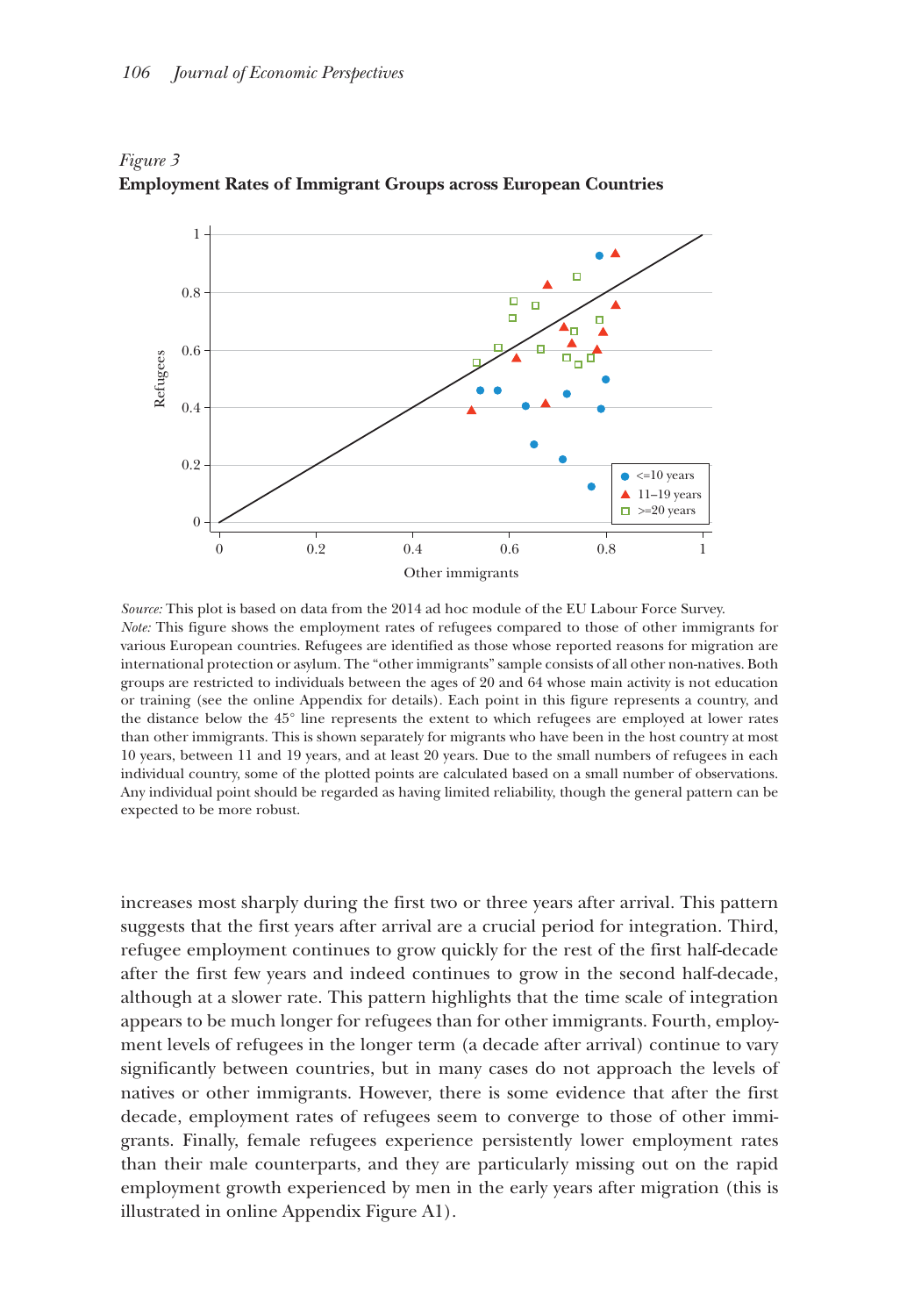

<span id="page-12-0"></span>*Figure 3* **Employment Rates of Immigrant Groups across European Countries**

*Source:* This plot is based on data from the 2014 ad hoc module of the EU Labour Force Survey. *Note:* This figure shows the employment rates of refugees compared to those of other immigrants for various European countries. Refugees are identified as those whose reported reasons for migration are international protection or asylum. The "other immigrants" sample consists of all other non-natives. Both groups are restricted to individuals between the ages of 20 and 64 whose main activity is not education or training (see the online Appendix for details). Each point in this figure represents a country, and the distance below the 45° line represents the extent to which refugees are employed at lower rates than other immigrants. This is shown separately for migrants who have been in the host country at most 10 years, between 11 and 19 years, and at least 20 years. Due to the small numbers of refugees in each individual country, some of the plotted points are calculated based on a small number of observations. Any individual point should be regarded as having limited reliability, though the general pattern can be expected to be more robust.

increases most sharply during the first two or three years after arrival. This pattern suggests that the first years after arrival are a crucial period for integration. Third, refugee employment continues to grow quickly for the rest of the first half-decade after the first few years and indeed continues to grow in the second half-decade, although at a slower rate. This pattern highlights that the time scale of integration appears to be much longer for refugees than for other immigrants. Fourth, employment levels of refugees in the longer term (a decade after arrival) continue to vary significantly between countries, but in many cases do not approach the levels of natives or other immigrants. However, there is some evidence that after the first decade, employment rates of refugees seem to converge to those of other immigrants. Finally, female refugees experience persistently lower employment rates than their male counterparts, and they are particularly missing out on the rapid employment growth experienced by men in the early years after migration (this is illustrated in online Appendix Figure A1).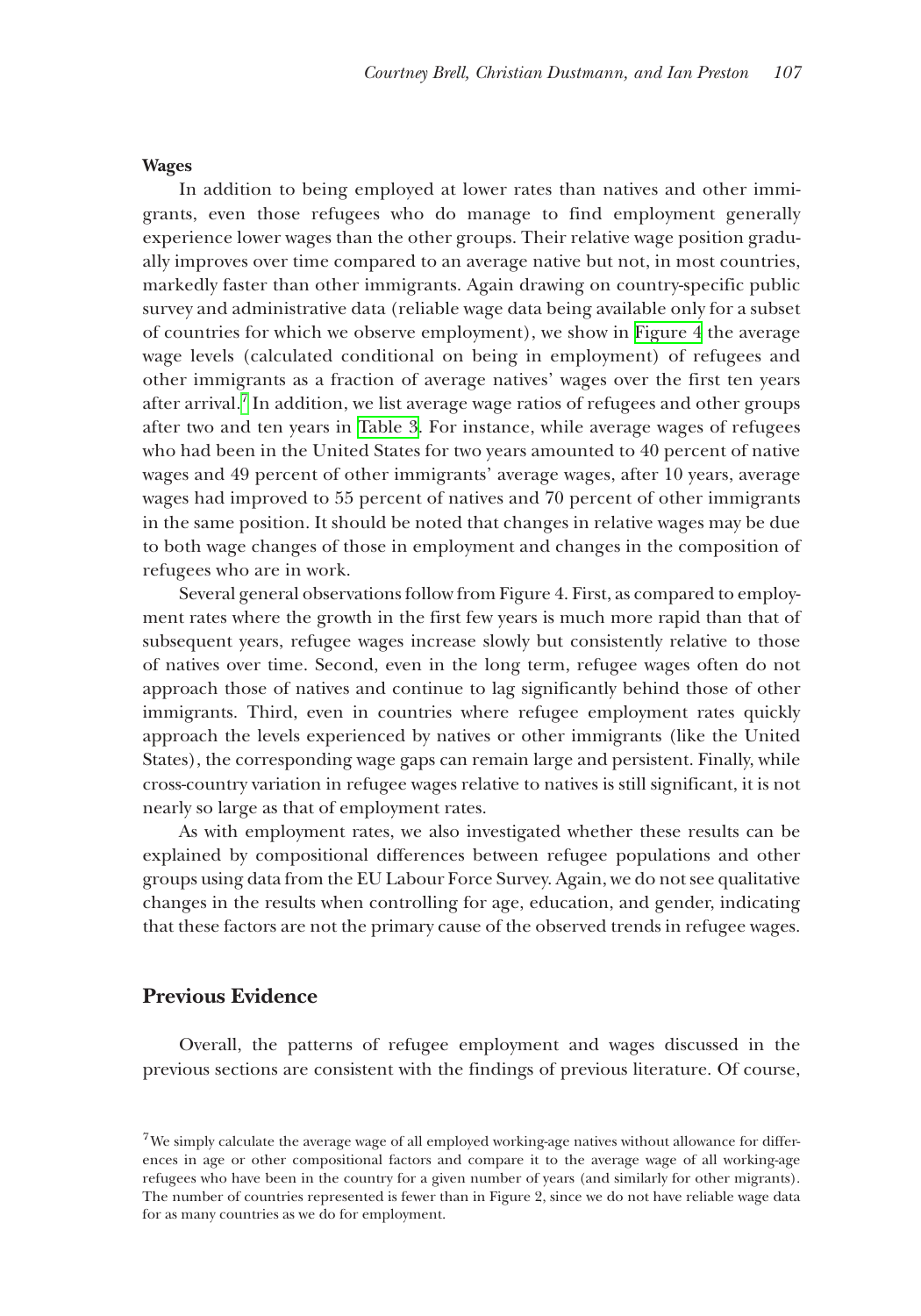#### **Wages**

In addition to being employed at lower rates than natives and other immigrants, even those refugees who do manage to find employment generally experience lower wages than the other groups. Their relative wage position gradually improves over time compared to an average native but not, in most countries, markedly faster than other immigrants. Again drawing on country-specific public survey and administrative data (reliable wage data being available only for a subset of countries for which we observe employment), we show in [Figure 4](#page-14-0) the average wage levels (calculated conditional on being in employment) of refugees and other immigrants as a fraction of average natives' wages over the first ten years after arrival. $7$  In addition, we list average wage ratios of refugees and other groups after two and ten years in [Table 3.](#page-15-0) For instance, while average wages of refugees who had been in the United States for two years amounted to 40 percent of native wages and 49 percent of other immigrants' average wages, after 10 years, average wages had improved to 55 percent of natives and 70 percent of other immigrants in the same position. It should be noted that changes in relative wages may be due to both wage changes of those in employment and changes in the composition of refugees who are in work.

Several general observations follow from Figure 4. First, as compared to employment rates where the growth in the first few years is much more rapid than that of subsequent years, refugee wages increase slowly but consistently relative to those of natives over time. Second, even in the long term, refugee wages often do not approach those of natives and continue to lag significantly behind those of other immigrants. Third, even in countries where refugee employment rates quickly approach the levels experienced by natives or other immigrants (like the United States), the corresponding wage gaps can remain large and persistent. Finally, while cross-country variation in refugee wages relative to natives is still significant, it is not nearly so large as that of employment rates.

As with employment rates, we also investigated whether these results can be explained by compositional differences between refugee populations and other groups using data from the EU Labour Force Survey. Again, we do not see qualitative changes in the results when controlling for age, education, and gender, indicating that these factors are not the primary cause of the observed trends in refugee wages.

# **Previous Evidence**

Overall, the patterns of refugee employment and wages discussed in the previous sections are consistent with the findings of previous literature. Of course,

<span id="page-13-0"></span> $7$ We simply calculate the average wage of all employed working-age natives without allowance for differences in age or other compositional factors and compare it to the average wage of all working-age refugees who have been in the country for a given number of years (and similarly for other migrants). The number of countries represented is fewer than in Figure 2, since we do not have reliable wage data for as many countries as we do for employment.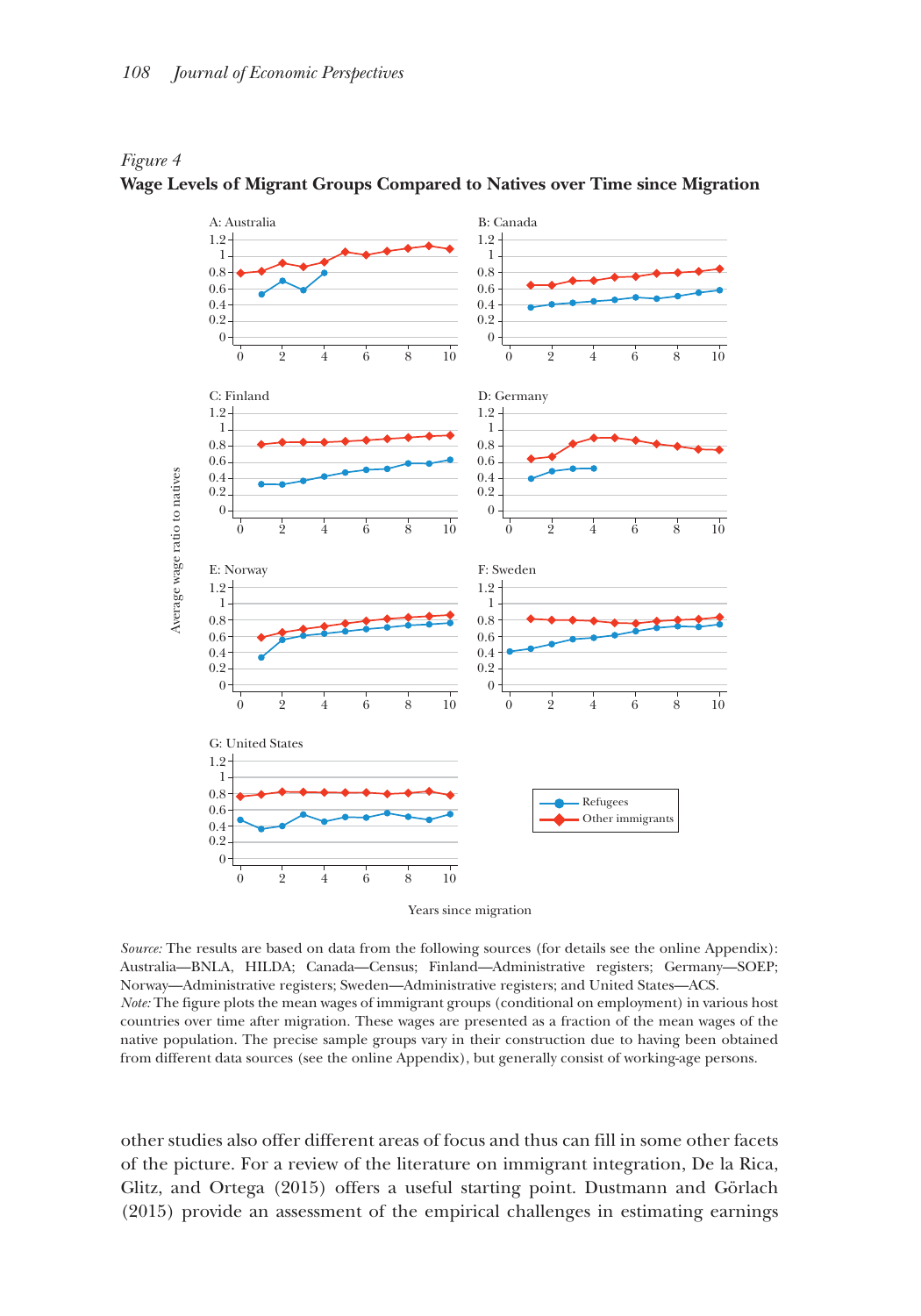<span id="page-14-0"></span>





*Source:* The results are based on data from the following sources (for details see the online Appendix): Australia—BNLA, HILDA; Canada—Census; Finland—Administrative registers; Germany—SOEP; Norway—Administrative registers; Sweden—Administrative registers; and United States—ACS. *Note:* The figure plots the mean wages of immigrant groups (conditional on employment) in various host countries over time after migration. These wages are presented as a fraction of the mean wages of the native population. The precise sample groups vary in their construction due to having been obtained from different data sources (see the online Appendix), but generally consist of working-age persons.

other studies also offer different areas of focus and thus can fill in some other facets of the picture. For a review of the literature on immigrant integration, De la Rica, Glitz, and Ortega (2015) offers a useful starting point. Dustmann and Görlach (2015) provide an assessment of the empirical challenges in estimating earnings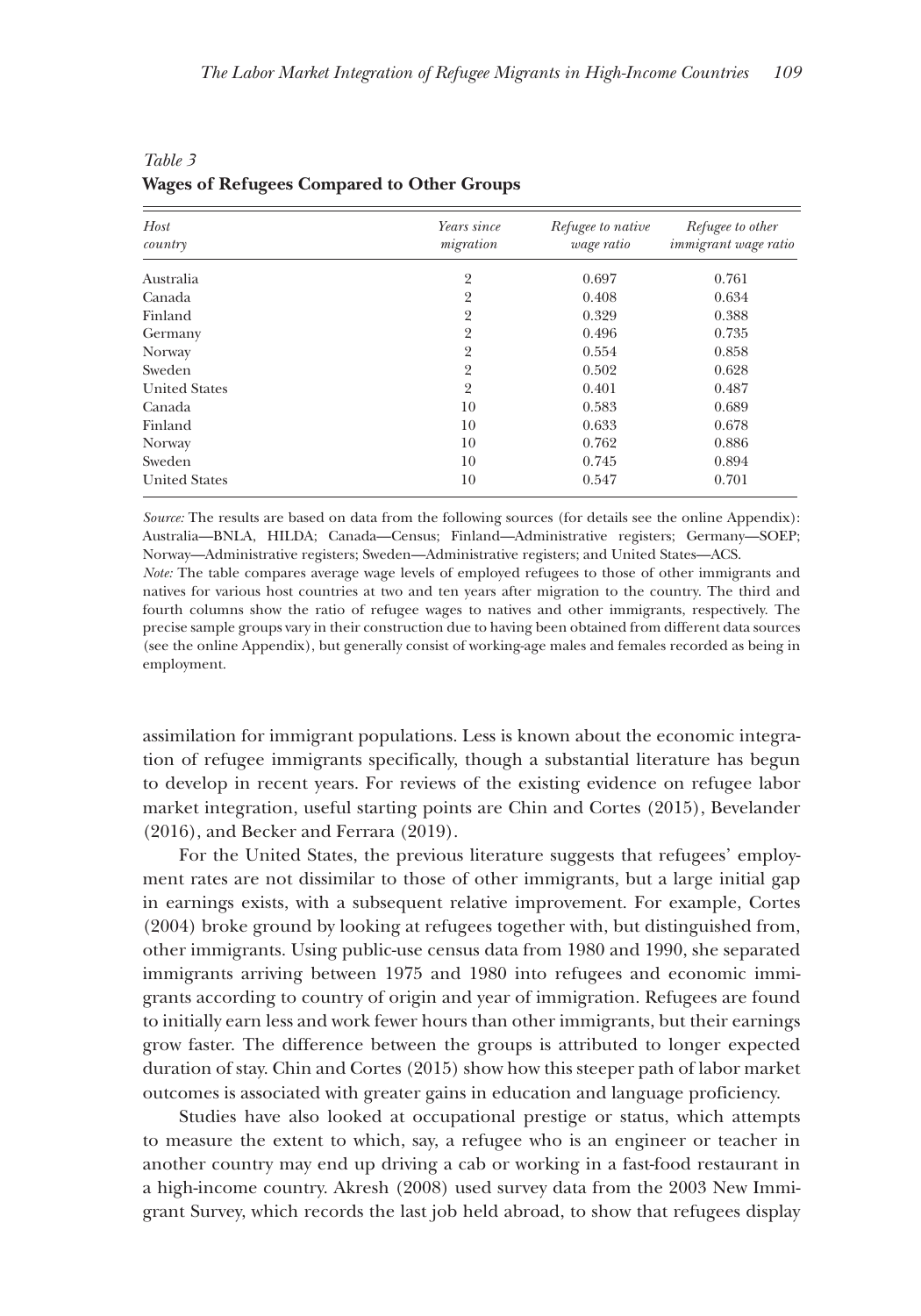| Host<br>country      | Years since<br>migration | Refugee to native<br>wage ratio | Refugee to other<br><i>immigrant</i> wage ratio |
|----------------------|--------------------------|---------------------------------|-------------------------------------------------|
| Australia            | $\overline{2}$           | 0.697                           | 0.761                                           |
| Canada               | 2                        | 0.408                           | 0.634                                           |
| Finland              | $\overline{2}$           | 0.329                           | 0.388                                           |
| Germany              | 2                        | 0.496                           | 0.735                                           |
| Norway               | $\overline{2}$           | 0.554                           | 0.858                                           |
| Sweden               | $\overline{2}$           | 0.502                           | 0.628                                           |
| <b>United States</b> | $\overline{2}$           | 0.401                           | 0.487                                           |
| Canada               | 10                       | 0.583                           | 0.689                                           |
| Finland              | 10                       | 0.633                           | 0.678                                           |
| Norway               | 10                       | 0.762                           | 0.886                                           |
| Sweden               | 10                       | 0.745                           | 0.894                                           |
| <b>United States</b> | 10                       | 0.547                           | 0.701                                           |

<span id="page-15-0"></span>*Table 3* **Wages of Refugees Compared to Other Groups** 

*Source:* The results are based on data from the following sources (for details see the online Appendix): Australia—BNLA, HILDA; Canada—Census; Finland—Administrative registers; Germany—SOEP; Norway—Administrative registers; Sweden—Administrative registers; and United States—ACS. *Note:* The table compares average wage levels of employed refugees to those of other immigrants and natives for various host countries at two and ten years after migration to the country. The third and fourth columns show the ratio of refugee wages to natives and other immigrants, respectively. The precise sample groups vary in their construction due to having been obtained from different data sources (see the online Appendix), but generally consist of working-age males and females recorded as being in

employment.

assimilation for immigrant populations. Less is known about the economic integration of refugee immigrants specifically, though a substantial literature has begun to develop in recent years. For reviews of the existing evidence on refugee labor market integration, useful starting points are Chin and Cortes (2015), Bevelander (2016), and Becker and Ferrara (2019).

For the United States, the previous literature suggests that refugees' employment rates are not dissimilar to those of other immigrants, but a large initial gap in earnings exists, with a subsequent relative improvement. For example, Cortes (2004) broke ground by looking at refugees together with, but distinguished from, other immigrants. Using public-use census data from 1980 and 1990, she separated immigrants arriving between 1975 and 1980 into refugees and economic immigrants according to country of origin and year of immigration. Refugees are found to initially earn less and work fewer hours than other immigrants, but their earnings grow faster. The difference between the groups is attributed to longer expected duration of stay. Chin and Cortes (2015) show how this steeper path of labor market outcomes is associated with greater gains in education and language proficiency.

Studies have also looked at occupational prestige or status, which attempts to measure the extent to which, say, a refugee who is an engineer or teacher in another country may end up driving a cab or working in a fast-food restaurant in a high-income country. Akresh (2008) used survey data from the 2003 New Immigrant Survey, which records the last job held abroad, to show that refugees display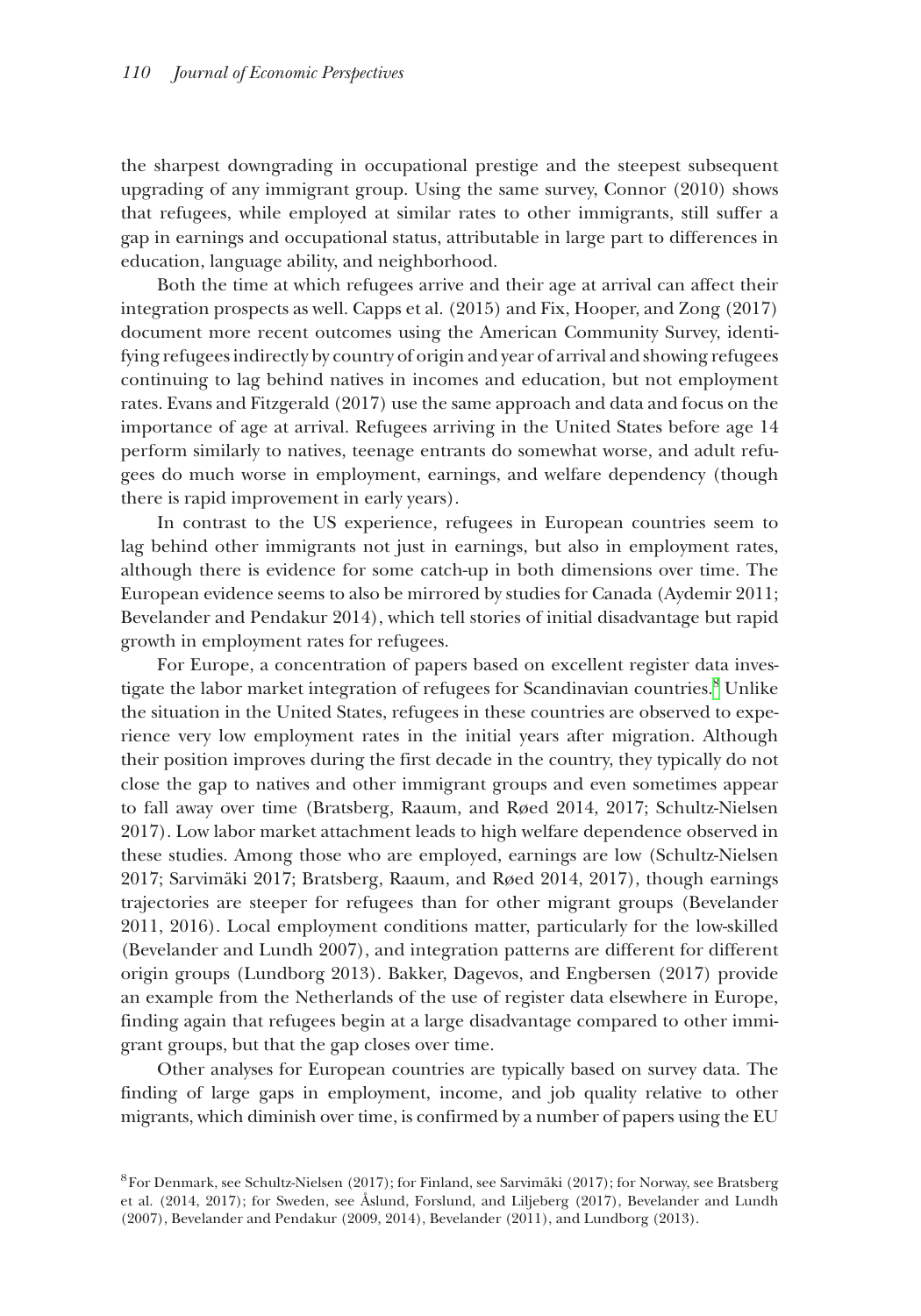the sharpest downgrading in occupational prestige and the steepest subsequent upgrading of any immigrant group. Using the same survey, Connor (2010) shows that refugees, while employed at similar rates to other immigrants, still suffer a gap in earnings and occupational status, attributable in large part to differences in education, language ability, and neighborhood.

Both the time at which refugees arrive and their age at arrival can affect their integration prospects as well. Capps et al. (2015) and Fix, Hooper, and Zong (2017) document more recent outcomes using the American Community Survey, identifying refugees indirectly by country of origin and year of arrival and showing refugees continuing to lag behind natives in incomes and education, but not employment rates. Evans and Fitzgerald (2017) use the same approach and data and focus on the importance of age at arrival. Refugees arriving in the United States before age 14 perform similarly to natives, teenage entrants do somewhat worse, and adult refugees do much worse in employment, earnings, and welfare dependency (though there is rapid improvement in early years).

In contrast to the US experience, refugees in European countries seem to lag behind other immigrants not just in earnings, but also in employment rates, although there is evidence for some catch-up in both dimensions over time. The European evidence seems to also be mirrored by studies for Canada (Aydemir 2011; Bevelander and Pendakur 2014), which tell stories of initial disadvantage but rapid growth in employment rates for refugees.

For Europe, a concentration of papers based on excellent register data investigate the labor market integration of refugees for Scandinavian countries.<sup>8</sup> Unlike the situation in the United States, refugees in these countries are observed to experience very low employment rates in the initial years after migration. Although their position improves during the first decade in the country, they typically do not close the gap to natives and other immigrant groups and even sometimes appear to fall away over time (Bratsberg, Raaum, and Røed 2014, 2017; Schultz-Nielsen 2017). Low labor market attachment leads to high welfare dependence observed in these studies. Among those who are employed, earnings are low (Schultz-Nielsen 2017; Sarvimäki 2017; Bratsberg, Raaum, and Røed 2014, 2017), though earnings trajectories are steeper for refugees than for other migrant groups (Bevelander 2011, 2016). Local employment conditions matter, particularly for the low-skilled (Bevelander and Lundh 2007), and integration patterns are different for different origin groups (Lundborg 2013). Bakker, Dagevos, and Engbersen (2017) provide an example from the Netherlands of the use of register data elsewhere in Europe, finding again that refugees begin at a large disadvantage compared to other immigrant groups, but that the gap closes over time.

Other analyses for European countries are typically based on survey data. The finding of large gaps in employment, income, and job quality relative to other migrants, which diminish over time, is confirmed by a number of papers using the EU

<span id="page-16-0"></span><sup>8</sup>For Denmark, see Schultz-Nielsen (2017); for Finland, see Sarvimäki (2017); for Norway, see Bratsberg et al. (2014, 2017); for Sweden, see Åslund, Forslund, and Liljeberg (2017), Bevelander and Lundh (2007), Bevelander and Pendakur (2009, 2014), Bevelander (2011), and Lundborg (2013).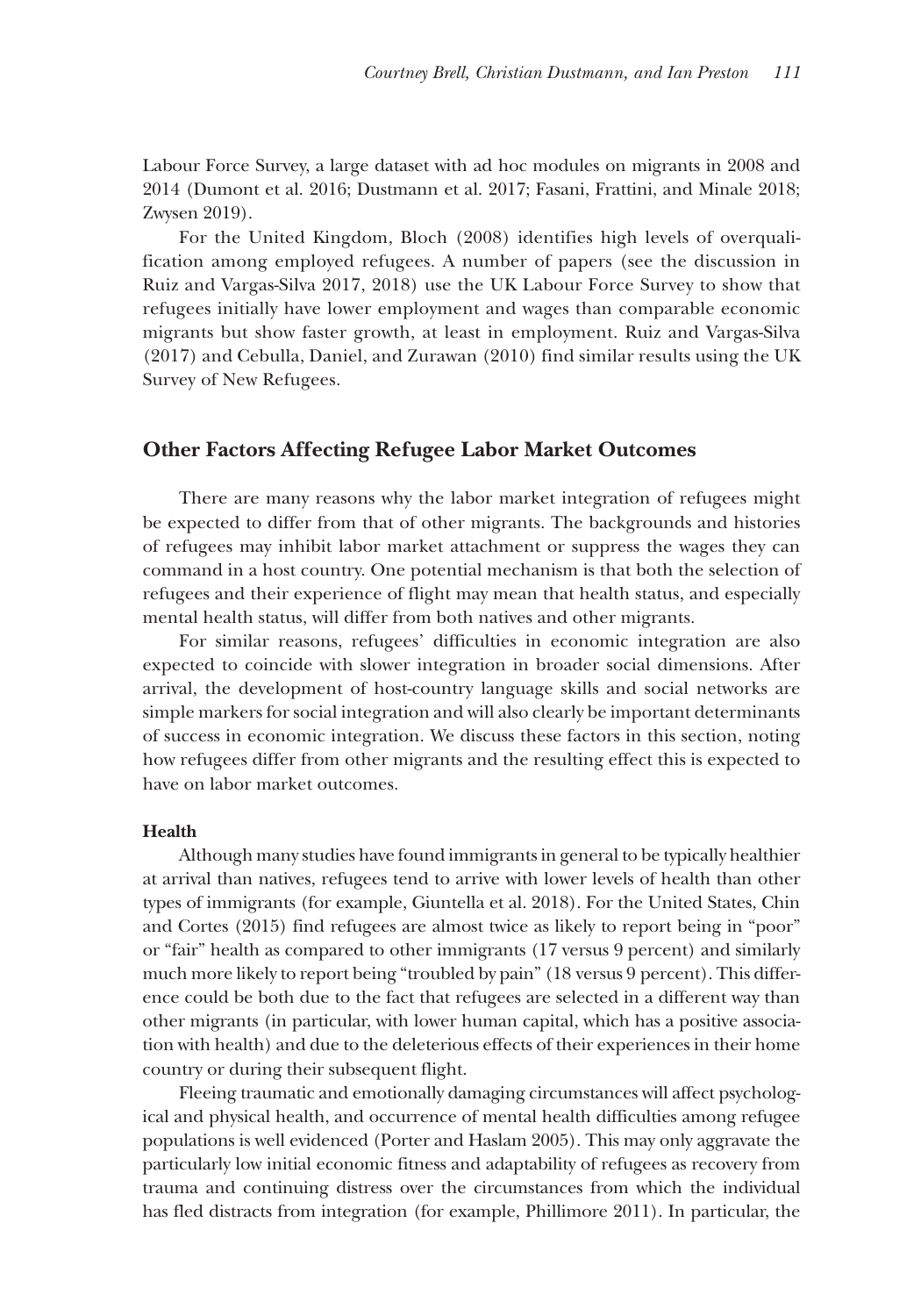Labour Force Survey, a large dataset with ad hoc modules on migrants in 2008 and 2014 (Dumont et al. 2016; Dustmann et al. 2017; Fasani, Frattini, and Minale 2018; Zwysen 2019).

For the United Kingdom, Bloch (2008) identifies high levels of overqualification among employed refugees. A number of papers (see the discussion in Ruiz and Vargas-Silva 2017, 2018) use the UK Labour Force Survey to show that refugees initially have lower employment and wages than comparable economic migrants but show faster growth, at least in employment. Ruiz and Vargas-Silva (2017) and Cebulla, Daniel, and Zurawan (2010) find similar results using the UK Survey of New Refugees.

# **Other Factors Affecting Refugee Labor Market Outcomes**

There are many reasons why the labor market integration of refugees might be expected to differ from that of other migrants. The backgrounds and histories of refugees may inhibit labor market attachment or suppress the wages they can command in a host country. One potential mechanism is that both the selection of refugees and their experience of flight may mean that health status, and especially mental health status, will differ from both natives and other migrants.

For similar reasons, refugees' difficulties in economic integration are also expected to coincide with slower integration in broader social dimensions. After arrival, the development of host-country language skills and social networks are simple markers for social integration and will also clearly be important determinants of success in economic integration. We discuss these factors in this section, noting how refugees differ from other migrants and the resulting effect this is expected to have on labor market outcomes.

#### **Health**

Although many studies have found immigrants in general to be typically healthier at arrival than natives, refugees tend to arrive with lower levels of health than other types of immigrants (for example, Giuntella et al. 2018). For the United States, Chin and Cortes (2015) find refugees are almost twice as likely to report being in "poor" or "fair" health as compared to other immigrants (17 versus 9 percent) and similarly much more likely to report being "troubled by pain" (18 versus 9 percent). This difference could be both due to the fact that refugees are selected in a different way than other migrants (in particular, with lower human capital, which has a positive association with health) and due to the deleterious effects of their experiences in their home country or during their subsequent flight.

Fleeing traumatic and emotionally damaging circumstances will affect psychological and physical health, and occurrence of mental health difficulties among refugee populations is well evidenced (Porter and Haslam 2005). This may only aggravate the particularly low initial economic fitness and adaptability of refugees as recovery from trauma and continuing distress over the circumstances from which the individual has fled distracts from integration (for example, Phillimore 2011). In particular, the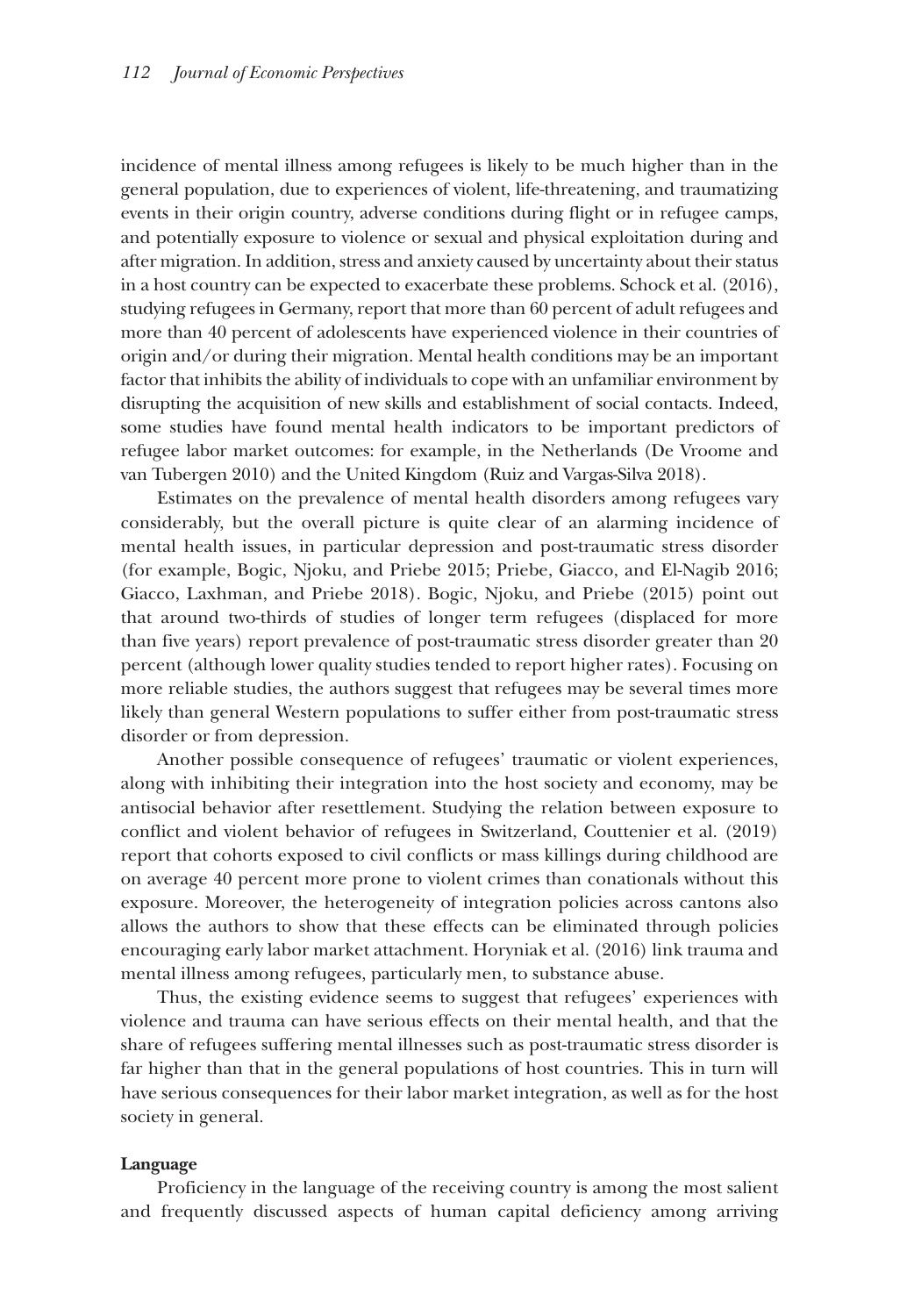incidence of mental illness among refugees is likely to be much higher than in the general population, due to experiences of violent, life-threatening, and traumatizing events in their origin country, adverse conditions during flight or in refugee camps, and potentially exposure to violence or sexual and physical exploitation during and after migration. In addition, stress and anxiety caused by uncertainty about their status in a host country can be expected to exacerbate these problems. Schock et al. (2016), studying refugees in Germany, report that more than 60 percent of adult refugees and more than 40 percent of adolescents have experienced violence in their countries of origin and/or during their migration. Mental health conditions may be an important factor that inhibits the ability of individuals to cope with an unfamiliar environment by disrupting the acquisition of new skills and establishment of social contacts. Indeed, some studies have found mental health indicators to be important predictors of refugee labor market outcomes: for example, in the Netherlands (De Vroome and van Tubergen 2010) and the United Kingdom (Ruiz and Vargas-Silva 2018).

Estimates on the prevalence of mental health disorders among refugees vary considerably, but the overall picture is quite clear of an alarming incidence of mental health issues, in particular depression and post-traumatic stress disorder (for example, Bogic, Njoku, and Priebe 2015; Priebe, Giacco, and El-Nagib 2016; Giacco, Laxhman, and Priebe 2018). Bogic, Njoku, and Priebe (2015) point out that around two-thirds of studies of longer term refugees (displaced for more than five years) report prevalence of post-traumatic stress disorder greater than 20 percent (although lower quality studies tended to report higher rates). Focusing on more reliable studies, the authors suggest that refugees may be several times more likely than general Western populations to suffer either from post-traumatic stress disorder or from depression.

Another possible consequence of refugees' traumatic or violent experiences, along with inhibiting their integration into the host society and economy, may be antisocial behavior after resettlement. Studying the relation between exposure to conflict and violent behavior of refugees in Switzerland, Couttenier et al. (2019) report that cohorts exposed to civil conflicts or mass killings during childhood are on average 40 percent more prone to violent crimes than conationals without this exposure. Moreover, the heterogeneity of integration policies across cantons also allows the authors to show that these effects can be eliminated through policies encouraging early labor market attachment. Horyniak et al. (2016) link trauma and mental illness among refugees, particularly men, to substance abuse.

Thus, the existing evidence seems to suggest that refugees' experiences with violence and trauma can have serious effects on their mental health, and that the share of refugees suffering mental illnesses such as post-traumatic stress disorder is far higher than that in the general populations of host countries. This in turn will have serious consequences for their labor market integration, as well as for the host society in general.

#### **Language**

Proficiency in the language of the receiving country is among the most salient and frequently discussed aspects of human capital deficiency among arriving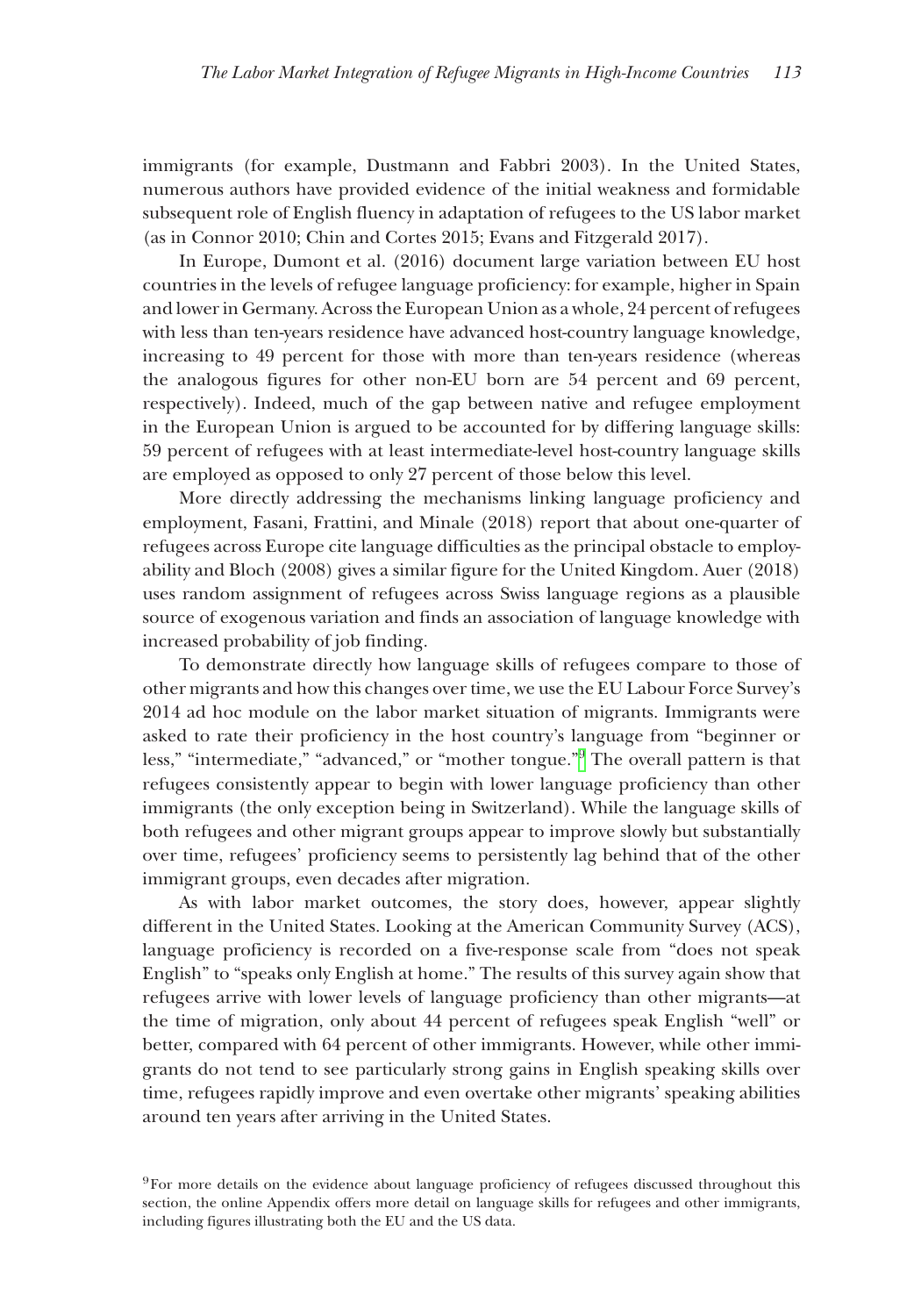immigrants (for example, Dustmann and Fabbri 2003). In the United States, numerous authors have provided evidence of the initial weakness and formidable subsequent role of English fluency in adaptation of refugees to the US labor market (as in Connor 2010; Chin and Cortes 2015; Evans and Fitzgerald 2017).

In Europe, Dumont et al. (2016) document large variation between EU host countries in the levels of refugee language proficiency: for example, higher in Spain and lower in Germany. Across the European Union as a whole, 24 percent of refugees with less than ten-years residence have advanced host-country language knowledge, increasing to 49 percent for those with more than ten-years residence (whereas the analogous figures for other non-EU born are 54 percent and 69 percent, respectively). Indeed, much of the gap between native and refugee employment in the European Union is argued to be accounted for by differing language skills: 59 percent of refugees with at least intermediate-level host-country language skills are employed as opposed to only 27 percent of those below this level.

More directly addressing the mechanisms linking language proficiency and employment, Fasani, Frattini, and Minale (2018) report that about one-quarter of refugees across Europe cite language difficulties as the principal obstacle to employability and Bloch (2008) gives a similar figure for the United Kingdom. Auer (2018) uses random assignment of refugees across Swiss language regions as a plausible source of exogenous variation and finds an association of language knowledge with increased probability of job finding.

To demonstrate directly how language skills of refugees compare to those of other migrants and how this changes over time, we use the EU Labour Force Survey's 2014 ad hoc module on the labor market situation of migrants. Immigrants were asked to rate their proficiency in the host country's language from "beginner or less," "intermediate," "advanced," or "mother tongue."[9](#page-19-0) The overall pattern is that refugees consistently appear to begin with lower language proficiency than other immigrants (the only exception being in Switzerland). While the language skills of both refugees and other migrant groups appear to improve slowly but substantially over time, refugees' proficiency seems to persistently lag behind that of the other immigrant groups, even decades after migration.

As with labor market outcomes, the story does, however, appear slightly different in the United States. Looking at the American Community Survey (ACS), language proficiency is recorded on a five-response scale from "does not speak English" to "speaks only English at home." The results of this survey again show that refugees arrive with lower levels of language proficiency than other migrants—at the time of migration, only about 44 percent of refugees speak English "well" or better, compared with 64 percent of other immigrants. However, while other immigrants do not tend to see particularly strong gains in English speaking skills over time, refugees rapidly improve and even overtake other migrants' speaking abilities around ten years after arriving in the United States.

<span id="page-19-0"></span><sup>&</sup>lt;sup>9</sup>For more details on the evidence about language proficiency of refugees discussed throughout this section, the online Appendix offers more detail on language skills for refugees and other immigrants, including figures illustrating both the EU and the US data.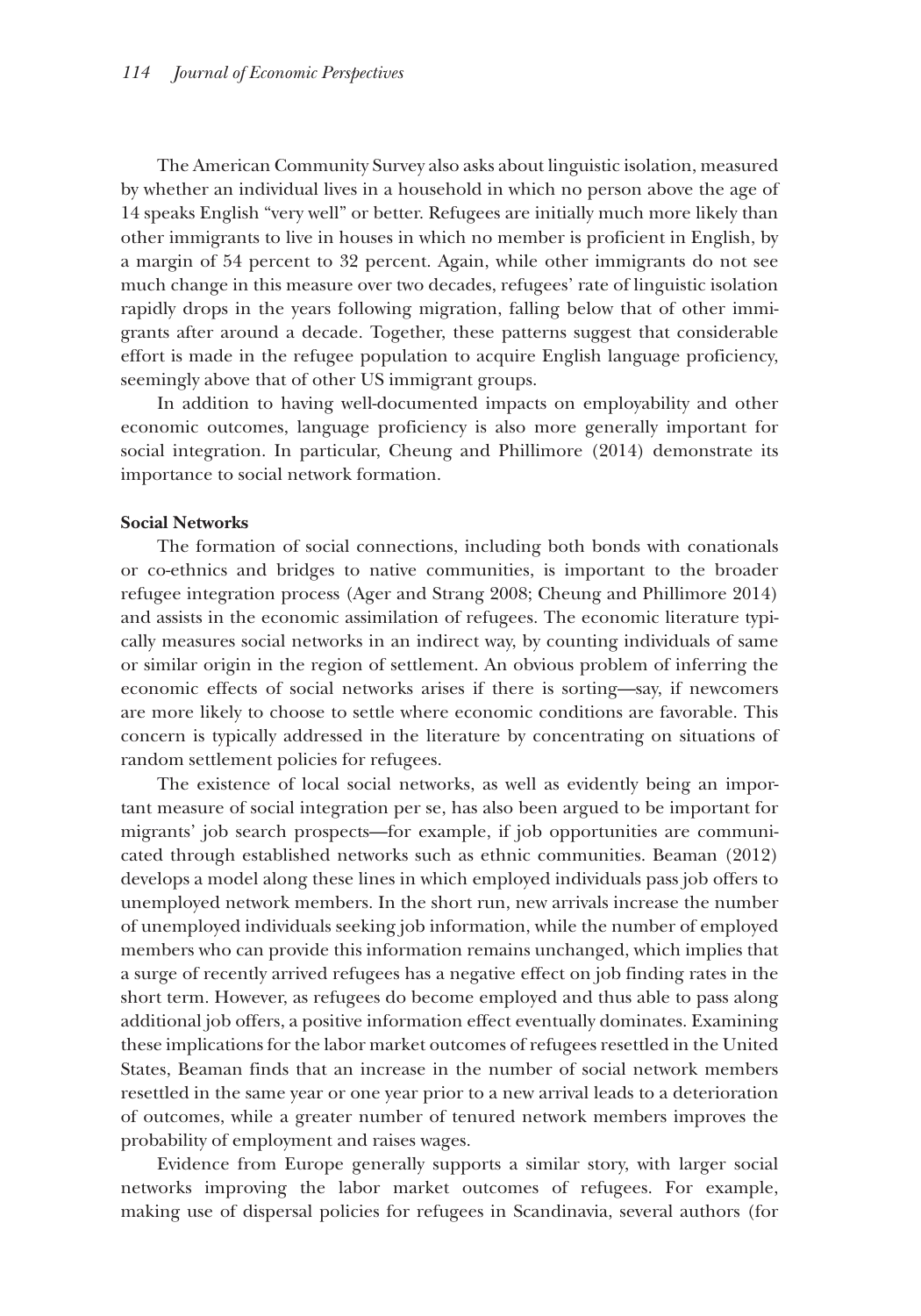The American Community Survey also asks about linguistic isolation, measured by whether an individual lives in a household in which no person above the age of 14 speaks English "very well" or better. Refugees are initially much more likely than other immigrants to live in houses in which no member is proficient in English, by a margin of 54 percent to 32 percent. Again, while other immigrants do not see much change in this measure over two decades, refugees' rate of linguistic isolation rapidly drops in the years following migration, falling below that of other immigrants after around a decade. Together, these patterns suggest that considerable effort is made in the refugee population to acquire English language proficiency, seemingly above that of other US immigrant groups.

In addition to having well-documented impacts on employability and other economic outcomes, language proficiency is also more generally important for social integration. In particular, Cheung and Phillimore (2014) demonstrate its importance to social network formation.

#### **Social Networks**

The formation of social connections, including both bonds with conationals or co-ethnics and bridges to native communities, is important to the broader refugee integration process (Ager and Strang 2008; Cheung and Phillimore 2014) and assists in the economic assimilation of refugees. The economic literature typically measures social networks in an indirect way, by counting individuals of same or similar origin in the region of settlement. An obvious problem of inferring the economic effects of social networks arises if there is sorting—say, if newcomers are more likely to choose to settle where economic conditions are favorable. This concern is typically addressed in the literature by concentrating on situations of random settlement policies for refugees.

The existence of local social networks, as well as evidently being an important measure of social integration per se, has also been argued to be important for migrants' job search prospects—for example, if job opportunities are communicated through established networks such as ethnic communities. Beaman (2012) develops a model along these lines in which employed individuals pass job offers to unemployed network members. In the short run, new arrivals increase the number of unemployed individuals seeking job information, while the number of employed members who can provide this information remains unchanged, which implies that a surge of recently arrived refugees has a negative effect on job finding rates in the short term. However, as refugees do become employed and thus able to pass along additional job offers, a positive information effect eventually dominates. Examining these implications for the labor market outcomes of refugees resettled in the United States, Beaman finds that an increase in the number of social network members resettled in the same year or one year prior to a new arrival leads to a deterioration of outcomes, while a greater number of tenured network members improves the probability of employment and raises wages.

Evidence from Europe generally supports a similar story, with larger social networks improving the labor market outcomes of refugees. For example, making use of dispersal policies for refugees in Scandinavia, several authors (for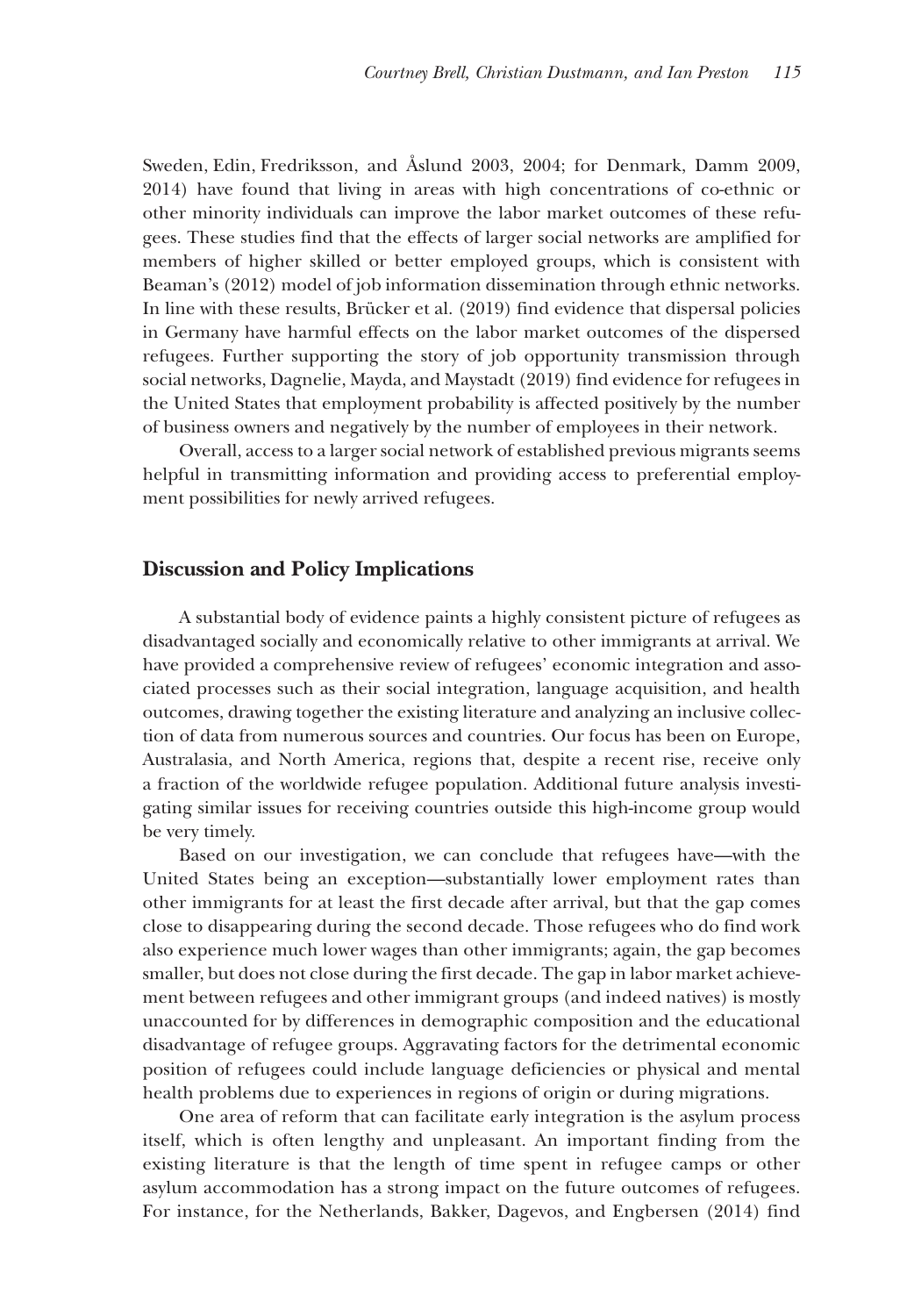Sweden, Edin, Fredriksson, and Åslund 2003, 2004; for Denmark, Damm 2009, 2014) have found that living in areas with high concentrations of co-ethnic or other minority individuals can improve the labor market outcomes of these refugees. These studies find that the effects of larger social networks are amplified for members of higher skilled or better employed groups, which is consistent with Beaman's (2012) model of job information dissemination through ethnic networks. In line with these results, Brücker et al. (2019) find evidence that dispersal policies in Germany have harmful effects on the labor market outcomes of the dispersed refugees. Further supporting the story of job opportunity transmission through social networks, Dagnelie, Mayda, and Maystadt (2019) find evidence for refugees in the United States that employment probability is affected positively by the number of business owners and negatively by the number of employees in their network.

Overall, access to a larger social network of established previous migrants seems helpful in transmitting information and providing access to preferential employment possibilities for newly arrived refugees.

## **Discussion and Policy Implications**

A substantial body of evidence paints a highly consistent picture of refugees as disadvantaged socially and economically relative to other immigrants at arrival. We have provided a comprehensive review of refugees' economic integration and associated processes such as their social integration, language acquisition, and health outcomes, drawing together the existing literature and analyzing an inclusive collection of data from numerous sources and countries. Our focus has been on Europe, Australasia, and North America, regions that, despite a recent rise, receive only a fraction of the worldwide refugee population. Additional future analysis investigating similar issues for receiving countries outside this high-income group would be very timely.

Based on our investigation, we can conclude that refugees have—with the United States being an exception—substantially lower employment rates than other immigrants for at least the first decade after arrival, but that the gap comes close to disappearing during the second decade. Those refugees who do find work also experience much lower wages than other immigrants; again, the gap becomes smaller, but does not close during the first decade. The gap in labor market achievement between refugees and other immigrant groups (and indeed natives) is mostly unaccounted for by differences in demographic composition and the educational disadvantage of refugee groups. Aggravating factors for the detrimental economic position of refugees could include language deficiencies or physical and mental health problems due to experiences in regions of origin or during migrations.

One area of reform that can facilitate early integration is the asylum process itself, which is often lengthy and unpleasant. An important finding from the existing literature is that the length of time spent in refugee camps or other asylum accommodation has a strong impact on the future outcomes of refugees. For instance, for the Netherlands, Bakker, Dagevos, and Engbersen (2014) find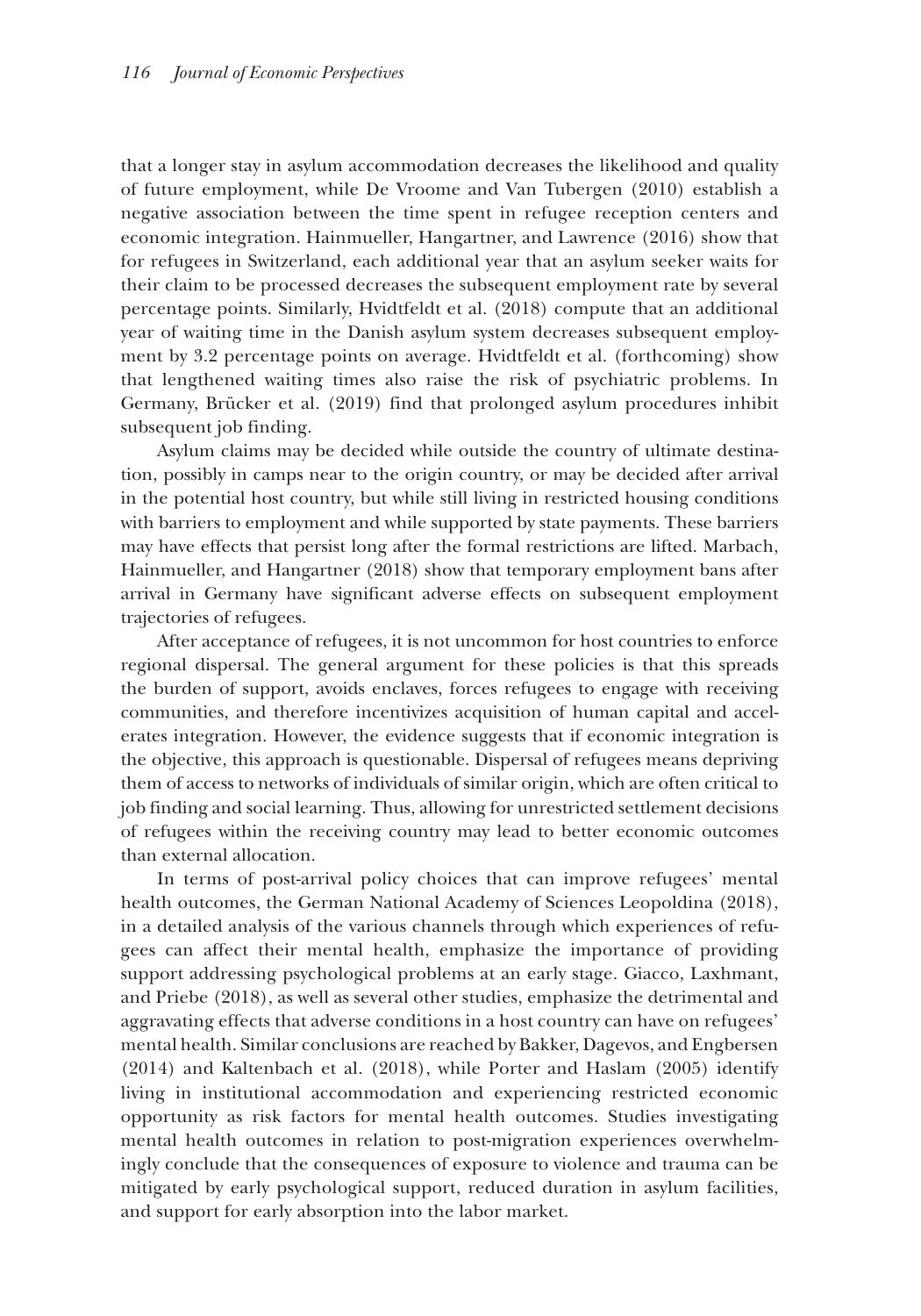that a longer stay in asylum accommodation decreases the likelihood and quality of future employment, while De Vroome and Van Tubergen (2010) establish a negative association between the time spent in refugee reception centers and economic integration. Hainmueller, Hangartner, and Lawrence (2016) show that for refugees in Switzerland, each additional year that an asylum seeker waits for their claim to be processed decreases the subsequent employment rate by several percentage points. Similarly, Hvidtfeldt et al. (2018) compute that an additional year of waiting time in the Danish asylum system decreases subsequent employment by 3.2 percentage points on average. Hvidtfeldt et al. (forthcoming) show that lengthened waiting times also raise the risk of psychiatric problems. In Germany, Brücker et al. (2019) find that prolonged asylum procedures inhibit subsequent job finding.

Asylum claims may be decided while outside the country of ultimate destination, possibly in camps near to the origin country, or may be decided after arrival in the potential host country, but while still living in restricted housing conditions with barriers to employment and while supported by state payments. These barriers may have effects that persist long after the formal restrictions are lifted. Marbach, Hainmueller, and Hangartner (2018) show that temporary employment bans after arrival in Germany have significant adverse effects on subsequent employment trajectories of refugees.

After acceptance of refugees, it is not uncommon for host countries to enforce regional dispersal. The general argument for these policies is that this spreads the burden of support, avoids enclaves, forces refugees to engage with receiving communities, and therefore incentivizes acquisition of human capital and accelerates integration. However, the evidence suggests that if economic integration is the objective, this approach is questionable. Dispersal of refugees means depriving them of access to networks of individuals of similar origin, which are often critical to job finding and social learning. Thus, allowing for unrestricted settlement decisions of refugees within the receiving country may lead to better economic outcomes than external allocation.

In terms of post-arrival policy choices that can improve refugees' mental health outcomes, the German National Academy of Sciences Leopoldina (2018), in a detailed analysis of the various channels through which experiences of refugees can affect their mental health, emphasize the importance of providing support addressing psychological problems at an early stage. Giacco, Laxhmant, and Priebe (2018), as well as several other studies, emphasize the detrimental and aggravating effects that adverse conditions in a host country can have on refugees' mental health. Similar conclusions are reached by Bakker, Dagevos, and Engbersen (2014) and Kaltenbach et al. (2018), while Porter and Haslam (2005) identify living in institutional accommodation and experiencing restricted economic opportunity as risk factors for mental health outcomes. Studies investigating mental health outcomes in relation to post-migration experiences overwhelmingly conclude that the consequences of exposure to violence and trauma can be mitigated by early psychological support, reduced duration in asylum facilities, and support for early absorption into the labor market.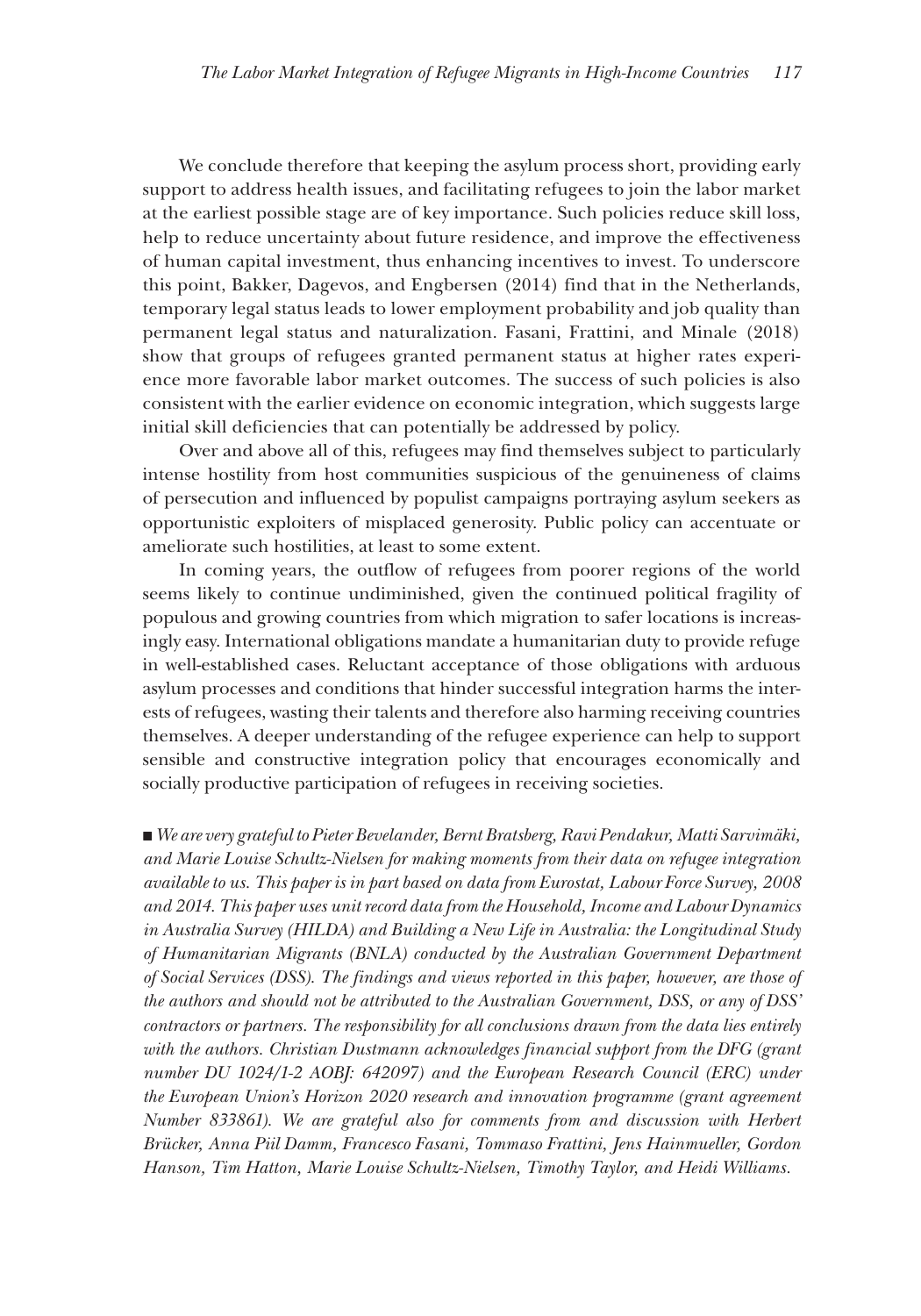We conclude therefore that keeping the asylum process short, providing early support to address health issues, and facilitating refugees to join the labor market at the earliest possible stage are of key importance. Such policies reduce skill loss, help to reduce uncertainty about future residence, and improve the effectiveness of human capital investment, thus enhancing incentives to invest. To underscore this point, Bakker, Dagevos, and Engbersen (2014) find that in the Netherlands, temporary legal status leads to lower employment probability and job quality than permanent legal status and naturalization. Fasani, Frattini, and Minale (2018) show that groups of refugees granted permanent status at higher rates experience more favorable labor market outcomes. The success of such policies is also consistent with the earlier evidence on economic integration, which suggests large initial skill deficiencies that can potentially be addressed by policy.

Over and above all of this, refugees may find themselves subject to particularly intense hostility from host communities suspicious of the genuineness of claims of persecution and influenced by populist campaigns portraying asylum seekers as opportunistic exploiters of misplaced generosity. Public policy can accentuate or ameliorate such hostilities, at least to some extent.

In coming years, the outflow of refugees from poorer regions of the world seems likely to continue undiminished, given the continued political fragility of populous and growing countries from which migration to safer locations is increasingly easy. International obligations mandate a humanitarian duty to provide refuge in well-established cases. Reluctant acceptance of those obligations with arduous asylum processes and conditions that hinder successful integration harms the interests of refugees, wasting their talents and therefore also harming receiving countries themselves. A deeper understanding of the refugee experience can help to support sensible and constructive integration policy that encourages economically and socially productive participation of refugees in receiving societies.

■ *We are very grateful to Pieter Bevelander, Bernt Bratsberg, Ravi Pendakur, Matti Sarvimäki, and Marie Louise Schultz-Nielsen for making moments from their data on refugee integration available to us. This paper is in part based on data from Eurostat, Labour Force Survey, 2008 and 2014. This paper uses unit record data from the Household, Income and Labour Dynamics in Australia Survey (HILDA) and Building a New Life in Australia: the Longitudinal Study of Humanitarian Migrants (BNLA) conducted by the Australian Government Department of Social Services (DSS). The findings and views reported in this paper, however, are those of the authors and should not be attributed to the Australian Government, DSS, or any of DSS' contractors or partners. The responsibility for all conclusions drawn from the data lies entirely with the authors. Christian Dustmann acknowledges financial support from the DFG (grant number DU 1024/1-2 AOBJ: 642097) and the European Research Council (ERC) under the European Union's Horizon 2020 research and innovation programme (grant agreement Number 833861*). We are grateful also for comments from and discussion with Herbert *Brücker, Anna Piil Damm, Francesco Fasani, Tommaso Frattini, Jens Hainmueller, Gordon Hanson, Tim Hatton, Marie Louise Schultz-Nielsen, Timothy Taylor, and Heidi Williams.*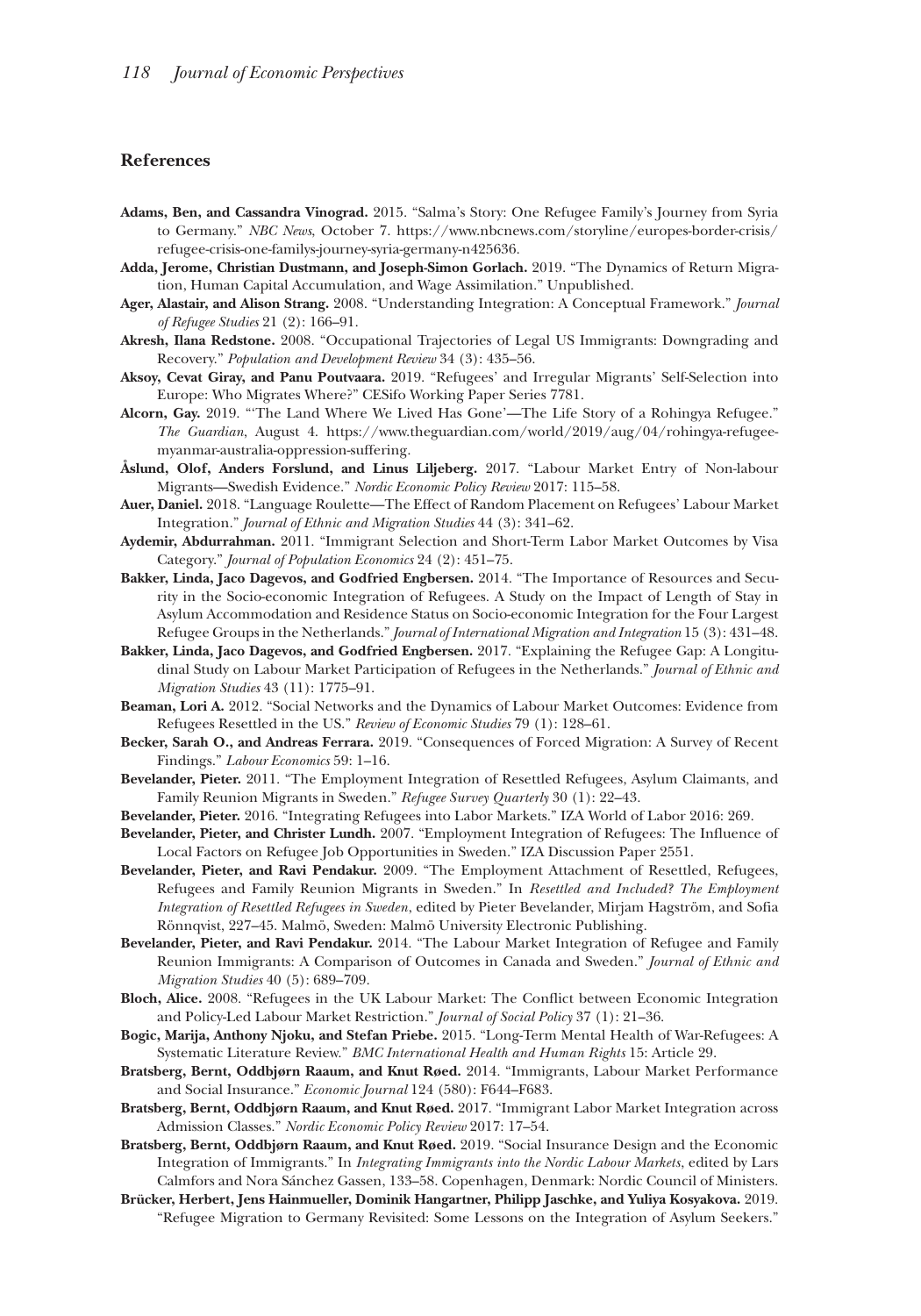#### **References**

- **Adams, Ben, and Cassandra Vinograd.** 2015. "Salma's Story: One Refugee Family's Journey from Syria to Germany." *NBC News*, October 7. [https://www.nbcnews.com/storyline/europes-border-crisis/](https://www.nbcnews.com/storyline/europes-border-crisis/refugee-crisis-one-familys-journey-syria-germany-n425636) [refugee-crisis-one-familys-journey-syria-germany-n425636](https://www.nbcnews.com/storyline/europes-border-crisis/refugee-crisis-one-familys-journey-syria-germany-n425636).
- **Adda, Jerome, Christian Dustmann, and Joseph-Simon Gorlach.** 2019. "The Dynamics of Return Migration, Human Capital Accumulation, and Wage Assimilation." Unpublished.
- **Ager, Alastair, and Alison Strang.** 2008. "Understanding Integration: A Conceptual Framework." *Journal of Refugee Studies* 21 (2): 166–91.
- **Akresh, Ilana Redstone.** 2008. "Occupational Trajectories of Legal US Immigrants: Downgrading and Recovery." *Population and Development Review* 34 (3): 435–56.
- **Aksoy, Cevat Giray, and Panu Poutvaara.** 2019. "Refugees' and Irregular Migrants' Self-Selection into Europe: Who Migrates Where?" CESifo Working Paper Series 7781.
- **Alcorn, Gay.** 2019. "'The Land Where We Lived Has Gone'—The Life Story of a Rohingya Refugee." *The Guardian*, August 4. [https://www.theguardian.com/world/2019/aug/04/rohingya-refugee](https://www.theguardian.com/world/2019/aug/04/rohingya-refugee-myanmar-australia-oppression-suffering)[myanmar-australia-oppression-suffering.](https://www.theguardian.com/world/2019/aug/04/rohingya-refugee-myanmar-australia-oppression-suffering)
- **Åslund, Olof, Anders Forslund, and Linus Liljeberg.** 2017. "Labour Market Entry of Non-labour Migrants—Swedish Evidence." *Nordic Economic Policy Review* 2017: 115–58.
- **Auer, Daniel.** 2018. "Language Roulette—The Effect of Random Placement on Refugees' Labour Market Integration." *Journal of Ethnic and Migration Studies* 44 (3): 341–62.
- **Aydemir, Abdurrahman.** 2011. "Immigrant Selection and Short-Term Labor Market Outcomes by Visa Category." *Journal of Population Economics* 24 (2): 451–75.
- **Bakker, Linda, Jaco Dagevos, and Godfried Engbersen.** 2014. "The Importance of Resources and Security in the Socio-economic Integration of Refugees. A Study on the Impact of Length of Stay in Asylum Accommodation and Residence Status on Socio-economic Integration for the Four Largest Refugee Groups in the Netherlands." *Journal of International Migration and Integration* 15 (3): 431–48.
- **Bakker, Linda, Jaco Dagevos, and Godfried Engbersen.** 2017. "Explaining the Refugee Gap: A Longitudinal Study on Labour Market Participation of Refugees in the Netherlands." *Journal of Ethnic and Migration Studies* 43 (11): 1775–91.
- **Beaman, Lori A.** 2012. "Social Networks and the Dynamics of Labour Market Outcomes: Evidence from Refugees Resettled in the US." *Review of Economic Studies* 79 (1): 128–61.
- **Becker, Sarah O., and Andreas Ferrara.** 2019. "Consequences of Forced Migration: A Survey of Recent Findings." *Labour Economics* 59: 1–16.
- **Bevelander, Pieter.** 2011. "The Employment Integration of Resettled Refugees, Asylum Claimants, and Family Reunion Migrants in Sweden." *Refugee Survey Quarterly* 30 (1): 22–43.
- **Bevelander, Pieter.** 2016. "Integrating Refugees into Labor Markets." IZA World of Labor 2016: 269.
- **Bevelander, Pieter, and Christer Lundh.** 2007. "Employment Integration of Refugees: The Influence of Local Factors on Refugee Job Opportunities in Sweden." IZA Discussion Paper 2551.
- **Bevelander, Pieter, and Ravi Pendakur.** 2009. "The Employment Attachment of Resettled, Refugees, Refugees and Family Reunion Migrants in Sweden." In *Resettled and Included? The Employment Integration of Resettled Refugees in Sweden*, edited by Pieter Bevelander, Mirjam Hagström, and Sofia Rönnqvist, 227–45. Malmö, Sweden: Malmö University Electronic Publishing.
- **Bevelander, Pieter, and Ravi Pendakur.** 2014. "The Labour Market Integration of Refugee and Family Reunion Immigrants: A Comparison of Outcomes in Canada and Sweden." *Journal of Ethnic and Migration Studies* 40 (5): 689–709.
- **Bloch, Alice.** 2008. "Refugees in the UK Labour Market: The Conflict between Economic Integration and Policy-Led Labour Market Restriction." *Journal of Social Policy* 37 (1): 21–36.
- **Bogic, Marija, Anthony Njoku, and Stefan Priebe.** 2015. "Long-Term Mental Health of War-Refugees: A Systematic Literature Review." *BMC International Health and Human Rights* 15: Article 29.
- **Bratsberg, Bernt, Oddbjørn Raaum, and Knut Røed.** 2014. "Immigrants, Labour Market Performance and Social Insurance." *Economic Journal* 124 (580): F644–F683.
- **Bratsberg, Bernt, Oddbjørn Raaum, and Knut Røed.** 2017. "Immigrant Labor Market Integration across Admission Classes." *Nordic Economic Policy Review* 2017: 17–54.
- **Bratsberg, Bernt, Oddbjørn Raaum, and Knut Røed.** 2019. "Social Insurance Design and the Economic Integration of Immigrants." In *Integrating Immigrants into the Nordic Labour Markets*, edited by Lars Calmfors and Nora Sánchez Gassen, 133–58. Copenhagen, Denmark: Nordic Council of Ministers.
- **Brücker, Herbert, Jens Hainmueller, Dominik Hangartner, Philipp Jaschke, and Yuliya Kosyakova.** 2019. "Refugee Migration to Germany Revisited: Some Lessons on the Integration of Asylum Seekers."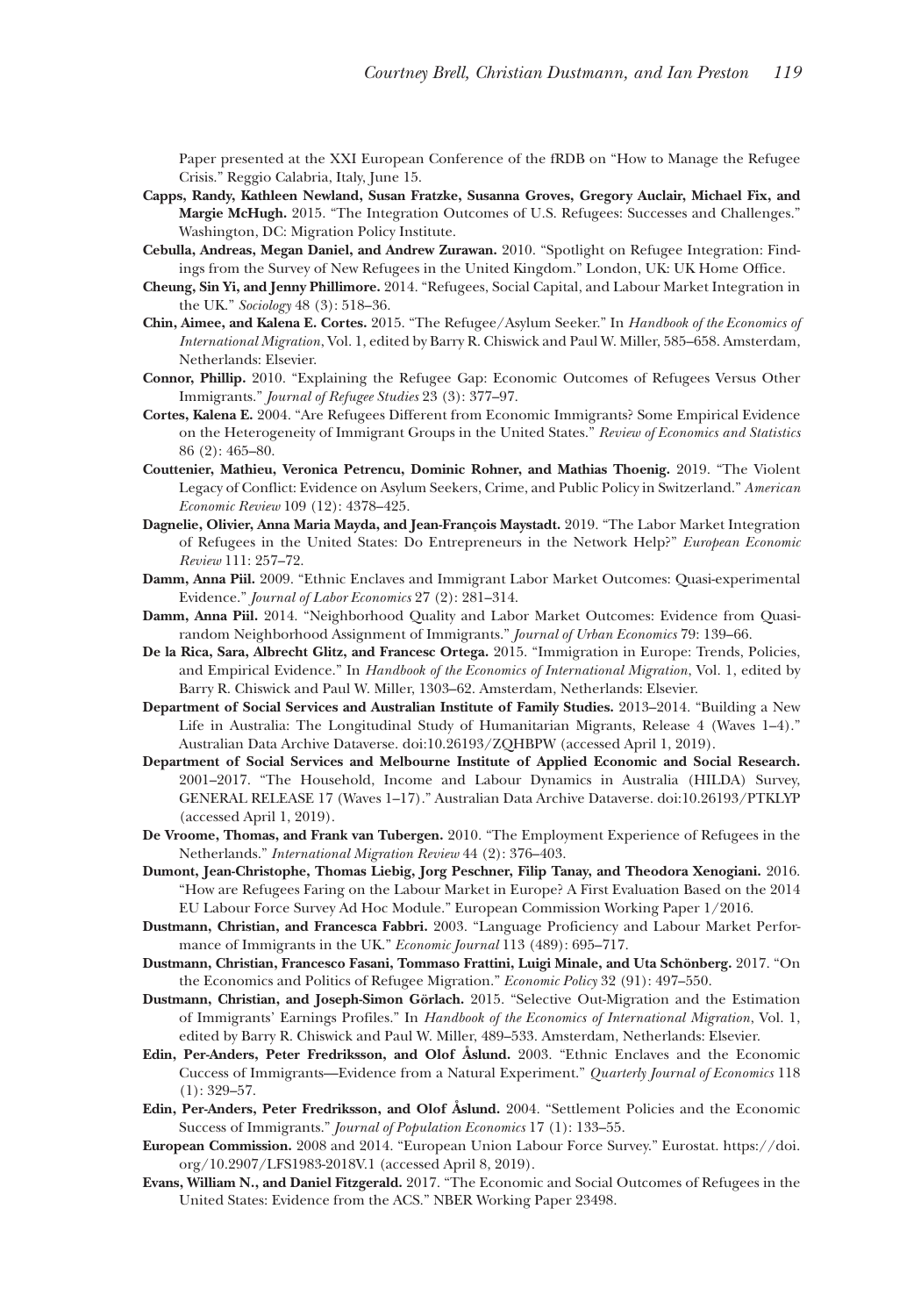Paper presented at the XXI European Conference of the fRDB on "How to Manage the Refugee Crisis." Reggio Calabria, Italy, June 15.

- **Capps, Randy, Kathleen Newland, Susan Fratzke, Susanna Groves, Gregory Auclair, Michael Fix, and Margie McHugh.** 2015. "The Integration Outcomes of U.S. Refugees: Successes and Challenges." Washington, DC: Migration Policy Institute.
- **Cebulla, Andreas, Megan Daniel, and Andrew Zurawan.** 2010. "Spotlight on Refugee Integration: Findings from the Survey of New Refugees in the United Kingdom." London, UK: UK Home Office.
- **Cheung, Sin Yi, and Jenny Phillimore.** 2014. "Refugees, Social Capital, and Labour Market Integration in the UK." *Sociology* 48 (3): 518–36.
- **Chin, Aimee, and Kalena E. Cortes.** 2015. "The Refugee/Asylum Seeker." In *Handbook of the Economics of International Migration*, Vol. 1, edited by Barry R. Chiswick and Paul W. Miller, 585–658. Amsterdam, Netherlands: Elsevier.
- **Connor, Phillip.** 2010. "Explaining the Refugee Gap: Economic Outcomes of Refugees Versus Other Immigrants." *Journal of Refugee Studies* 23 (3): 377–97.
- **Cortes, Kalena E.** 2004. "Are Refugees Different from Economic Immigrants? Some Empirical Evidence on the Heterogeneity of Immigrant Groups in the United States." *Review of Economics and Statistics* 86 (2): 465–80.
- **Couttenier, Mathieu, Veronica Petrencu, Dominic Rohner, and Mathias Thoenig.** 2019. "The Violent Legacy of Conflict: Evidence on Asylum Seekers, Crime, and Public Policy in Switzerland." *American Economic Review* 109 (12): 4378–425.
- **Dagnelie, Olivier, Anna Maria Mayda, and Jean-François Maystadt.** 2019. "The Labor Market Integration of Refugees in the United States: Do Entrepreneurs in the Network Help?" *European Economic Review* 111: 257–72.
- **Damm, Anna Piil.** 2009. "Ethnic Enclaves and Immigrant Labor Market Outcomes: Quasi-experimental Evidence." *Journal of Labor Economics* 27 (2): 281–314.
- **Damm, Anna Piil.** 2014. "Neighborhood Quality and Labor Market Outcomes: Evidence from Quasirandom Neighborhood Assignment of Immigrants." *Journal of Urban Economics* 79: 139–66.
- **De la Rica, Sara, Albrecht Glitz, and Francesc Ortega.** 2015. "Immigration in Europe: Trends, Policies, and Empirical Evidence." In *Handbook of the Economics of International Migration*, Vol. 1, edited by Barry R. Chiswick and Paul W. Miller, 1303–62. Amsterdam, Netherlands: Elsevier.
- **Department of Social Services and Australian Institute of Family Studies.** 2013–2014. "Building a New Life in Australia: The Longitudinal Study of Humanitarian Migrants, Release 4 (Waves 1–4)." Australian Data Archive Dataverse. doi:10.26193/ZQHBPW (accessed April 1, 2019).
- **Department of Social Services and Melbourne Institute of Applied Economic and Social Research.**  2001–2017. "The Household, Income and Labour Dynamics in Australia (HILDA) Survey, GENERAL RELEASE 17 (Waves 1–17)." Australian Data Archive Dataverse. <doi:10.26193/PTKLYP> (accessed April 1, 2019).
- **De Vroome, Thomas, and Frank van Tubergen.** 2010. "The Employment Experience of Refugees in the Netherlands." *International Migration Review* 44 (2): 376–403.
- **Dumont, Jean-Christophe, Thomas Liebig, Jorg Peschner, Filip Tanay, and Theodora Xenogiani.** 2016. "How are Refugees Faring on the Labour Market in Europe? A First Evaluation Based on the 2014 EU Labour Force Survey Ad Hoc Module." European Commission Working Paper 1/2016.
- **Dustmann, Christian, and Francesca Fabbri.** 2003. "Language Proficiency and Labour Market Performance of Immigrants in the UK." *Economic Journal* 113 (489): 695–717.
- **Dustmann, Christian, Francesco Fasani, Tommaso Frattini, Luigi Minale, and Uta Schönberg.** 2017. "On the Economics and Politics of Refugee Migration." *Economic Policy* 32 (91): 497–550.
- **Dustmann, Christian, and Joseph-Simon Görlach.** 2015. "Selective Out-Migration and the Estimation of Immigrants' Earnings Profiles." In *Handbook of the Economics of International Migration*, Vol. 1, edited by Barry R. Chiswick and Paul W. Miller, 489–533. Amsterdam, Netherlands: Elsevier.
- **Edin, Per-Anders, Peter Fredriksson, and Olof Åslund.** 2003. "Ethnic Enclaves and the Economic Cuccess of Immigrants—Evidence from a Natural Experiment." *Quarterly Journal of Economics* 118  $(1): 329 - 57.$
- **Edin, Per-Anders, Peter Fredriksson, and Olof Åslund.** 2004. "Settlement Policies and the Economic Success of Immigrants." *Journal of Population Economics* 17 (1): 133–55.
- **European Commission.** 2008 and 2014. "European Union Labour Force Survey." Eurostat. [https://doi.](https://doi.org/10.2907/LFS1983-2018V.1) [org/10.2907/LFS1983-2018V.1](https://doi.org/10.2907/LFS1983-2018V.1) (accessed April 8, 2019).
- **Evans, William N., and Daniel Fitzgerald.** 2017. "The Economic and Social Outcomes of Refugees in the United States: Evidence from the ACS." NBER Working Paper 23498.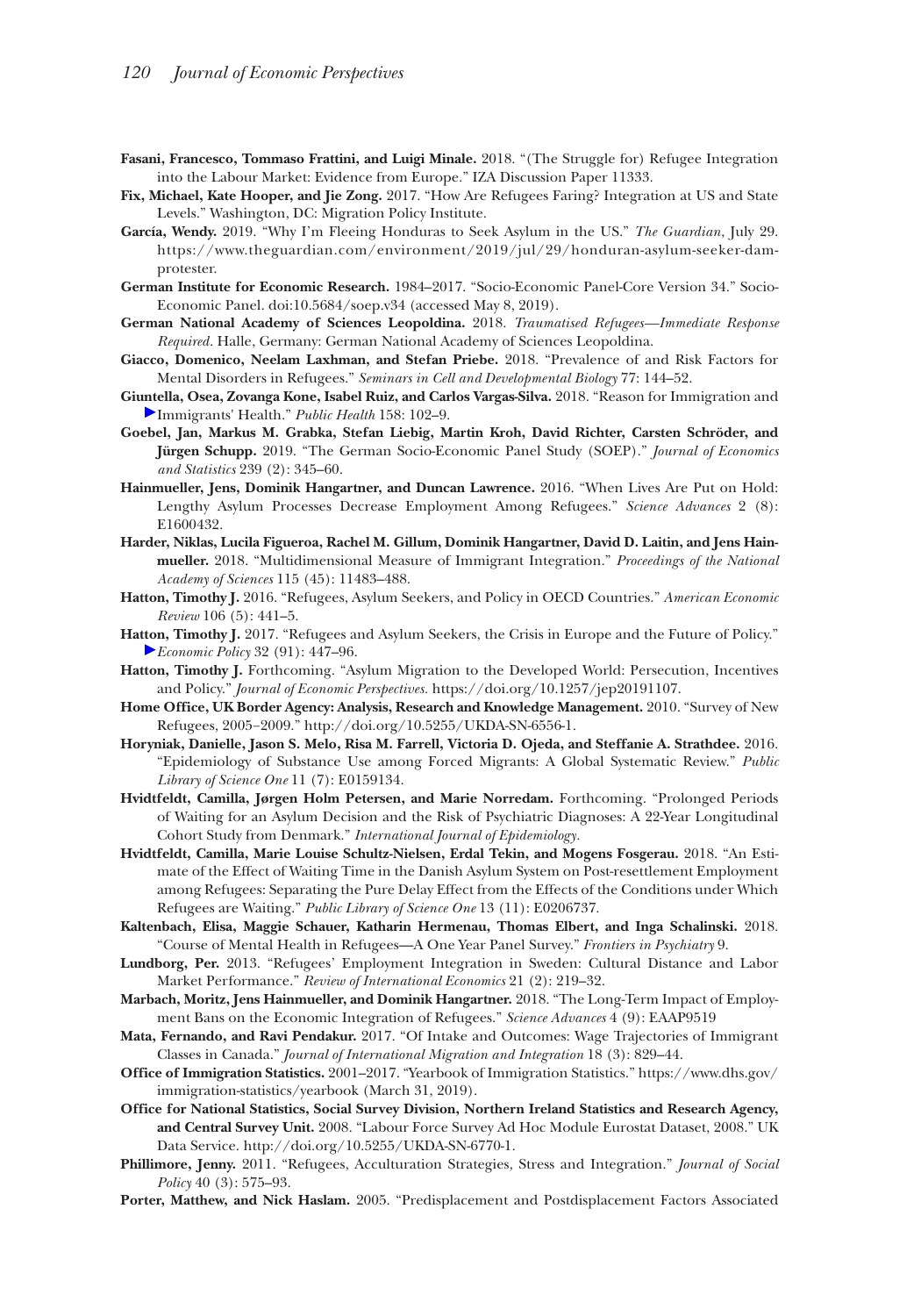- **Fasani, Francesco, Tommaso Frattini, and Luigi Minale.** 2018. "(The Struggle for) Refugee Integration into the Labour Market: Evidence from Europe." IZA Discussion Paper 11333.
- **Fix, Michael, Kate Hooper, and Jie Zong.** 2017. "How Are Refugees Faring? Integration at US and State Levels." Washington, DC: Migration Policy Institute.
- **García, Wendy.** 2019. "Why I'm Fleeing Honduras to Seek Asylum in the US." *The Guardian*, July 29. [https://www.theguardian.com/environment/2019/jul/29/honduran-asylum-seeker-dam](https://www.theguardian.com/environment/2019/jul/29/honduran-asylum-seeker-dam-protester)[protester.](https://www.theguardian.com/environment/2019/jul/29/honduran-asylum-seeker-dam-protester)
- **German Institute for Economic Research.** 1984–2017. "Socio-Economic Panel-Core Version 34." Socio-Economic Panel. doi:10.5684/soep.v34 (accessed May 8, 2019).
- **German National Academy of Sciences Leopoldina.** 2018. *Traumatised Refugees—Immediate Response Required*. Halle, Germany: German National Academy of Sciences Leopoldina.
- **Giacco, Domenico, Neelam Laxhman, and Stefan Priebe.** 2018. "Prevalence of and Risk Factors for Mental Disorders in Refugees." *Seminars in Cell and Developmental Biology* 77: 144–52.
- **Giuntella, Osea, Zovanga Kone, Isabel Ruiz, and Carlos Vargas-Silva.** 2018. "Reason for Immigration and [I](http://pubs.aeaweb.org/action/showLinks?pmid=29576228&citationId=p_74)mmigrants' Health." *Public Health* 158: 102–9.
- **Goebel, Jan, Markus M. Grabka, Stefan Liebig, Martin Kroh, David Richter, Carsten Schröder, and Jürgen Schupp.** 2019. "The German Socio-Economic Panel Study (SOEP)." *Journal of Economics and Statistics* 239 (2): 345–60.
- **Hainmueller, Jens, Dominik Hangartner, and Duncan Lawrence.** 2016. "When Lives Are Put on Hold: Lengthy Asylum Processes Decrease Employment Among Refugees." *Science Advances* 2 (8): E1600432.
- **Harder, Niklas, Lucila Figueroa, Rachel M. Gillum, Dominik Hangartner, David D. Laitin, and Jens Hainmueller.** 2018. "Multidimensional Measure of Immigrant Integration." *Proceedings of the National Academy of Sciences* 115 (45): 11483–488.
- **Hatton, Timothy J.** 2016. "Refugees, Asylum Seekers, and Policy in OECD Countries." *American Economic Review* 106 (5): 441–5.
- **Hatton, Timothy J.** 2017. "Refugees and Asylum Seekers, the Crisis in Europe and the Future of Policy." *[E](http://pubs.aeaweb.org/action/showLinks?crossref=10.1093%2Fepolic%2Feix009&citationId=p_82)conomic Policy* 32 (91): 447–96.
- **Hatton, Timothy J.** Forthcoming. "Asylum Migration to the Developed World: Persecution, Incentives and Policy." *Journal of Economic Perspectives.* [https://doi.org/10.1257/jep20191107.](https://doi.org/10.1257/jep20191107)
- **Home Office, UK Border Agency: Analysis, Research and Knowledge Management.** 2010. "Survey of New Refugees, 2005−2009."<http://doi.org/10.5255/UKDA-SN-6556-1>.
- **Horyniak, Danielle, Jason S. Melo, Risa M. Farrell, Victoria D. Ojeda, and Steffanie A. Strathdee.** 2016. "Epidemiology of Substance Use among Forced Migrants: A Global Systematic Review." *Public Library of Science One* 11 (7): E0159134.
- **Hvidtfeldt, Camilla, Jørgen Holm Petersen, and Marie Norredam.** Forthcoming. "Prolonged Periods of Waiting for an Asylum Decision and the Risk of Psychiatric Diagnoses: A 22-Year Longitudinal Cohort Study from Denmark." *International Journal of Epidemiology.*
- **Hvidtfeldt, Camilla, Marie Louise Schultz-Nielsen, Erdal Tekin, and Mogens Fosgerau.** 2018. "An Estimate of the Effect of Waiting Time in the Danish Asylum System on Post-resettlement Employment among Refugees: Separating the Pure Delay Effect from the Effects of the Conditions under Which Refugees are Waiting." *Public Library of Science One* 13 (11): E0206737.
- **Kaltenbach, Elisa, Maggie Schauer, Katharin Hermenau, Thomas Elbert, and Inga Schalinski.** 2018. "Course of Mental Health in Refugees—A One Year Panel Survey." *Frontiers in Psychiatry* 9.
- **Lundborg, Per.** 2013. "Refugees' Employment Integration in Sweden: Cultural Distance and Labor Market Performance." *Review of International Economics* 21 (2): 219–32.
- **Marbach, Moritz, Jens Hainmueller, and Dominik Hangartner.** 2018. "The Long-Term Impact of Employment Bans on the Economic Integration of Refugees." *Science Advances* 4 (9): EAAP9519
- **Mata, Fernando, and Ravi Pendakur.** 2017. "Of Intake and Outcomes: Wage Trajectories of Immigrant Classes in Canada." *Journal of International Migration and Integration* 18 (3): 829–44.
- **Office of Immigration Statistics.** 2001–2017. "Yearbook of Immigration Statistics." [https://www.dhs.gov/](https://www.dhs.gov/immigration-statistics/yearbook) [immigration-statistics/yearbook](https://www.dhs.gov/immigration-statistics/yearbook) (March 31, 2019).
- **Office for National Statistics, Social Survey Division, Northern Ireland Statistics and Research Agency, and Central Survey Unit.** 2008. "Labour Force Survey Ad Hoc Module Eurostat Dataset, 2008." UK Data Service.<http://doi.org/10.5255/UKDA-SN-6770-1>.
- **Phillimore, Jenny.** 2011. "Refugees, Acculturation Strategies, Stress and Integration." *Journal of Social Policy* 40 (3): 575–93.
- **Porter, Matthew, and Nick Haslam.** 2005. "Predisplacement and Postdisplacement Factors Associated